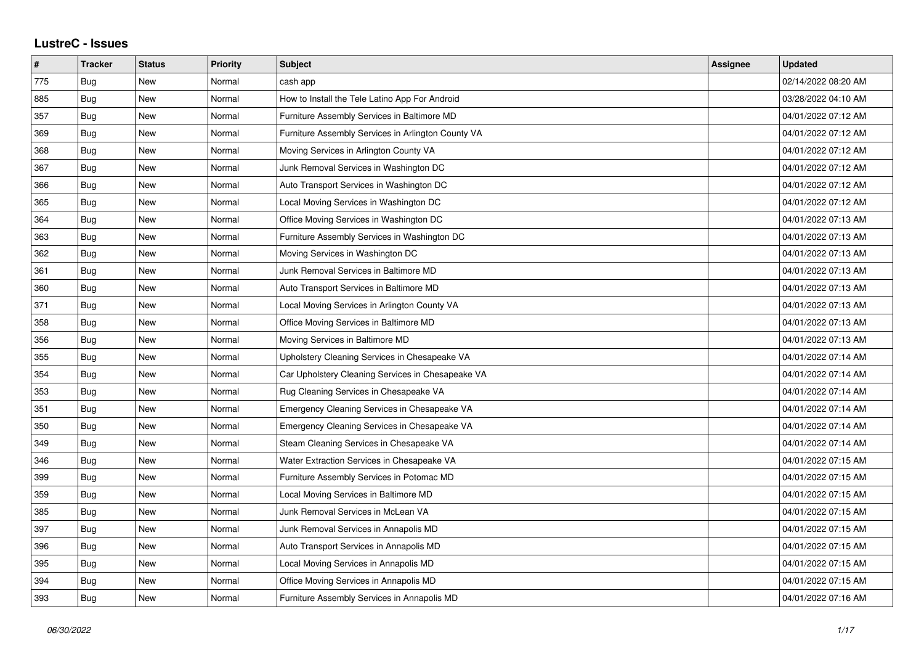## **LustreC - Issues**

| #   | <b>Tracker</b> | <b>Status</b> | <b>Priority</b> | <b>Subject</b>                                     | Assignee | <b>Updated</b>      |
|-----|----------------|---------------|-----------------|----------------------------------------------------|----------|---------------------|
| 775 | Bug            | New           | Normal          | cash app                                           |          | 02/14/2022 08:20 AM |
| 885 | Bug            | <b>New</b>    | Normal          | How to Install the Tele Latino App For Android     |          | 03/28/2022 04:10 AM |
| 357 | Bug            | <b>New</b>    | Normal          | Furniture Assembly Services in Baltimore MD        |          | 04/01/2022 07:12 AM |
| 369 | <b>Bug</b>     | New           | Normal          | Furniture Assembly Services in Arlington County VA |          | 04/01/2022 07:12 AM |
| 368 | Bug            | New           | Normal          | Moving Services in Arlington County VA             |          | 04/01/2022 07:12 AM |
| 367 | Bug            | <b>New</b>    | Normal          | Junk Removal Services in Washington DC             |          | 04/01/2022 07:12 AM |
| 366 | <b>Bug</b>     | New           | Normal          | Auto Transport Services in Washington DC           |          | 04/01/2022 07:12 AM |
| 365 | Bug            | <b>New</b>    | Normal          | Local Moving Services in Washington DC             |          | 04/01/2022 07:12 AM |
| 364 | <b>Bug</b>     | New           | Normal          | Office Moving Services in Washington DC            |          | 04/01/2022 07:13 AM |
| 363 | Bug            | <b>New</b>    | Normal          | Furniture Assembly Services in Washington DC       |          | 04/01/2022 07:13 AM |
| 362 | Bug            | <b>New</b>    | Normal          | Moving Services in Washington DC                   |          | 04/01/2022 07:13 AM |
| 361 | <b>Bug</b>     | New           | Normal          | Junk Removal Services in Baltimore MD              |          | 04/01/2022 07:13 AM |
| 360 | Bug            | <b>New</b>    | Normal          | Auto Transport Services in Baltimore MD            |          | 04/01/2022 07:13 AM |
| 371 | Bug            | <b>New</b>    | Normal          | Local Moving Services in Arlington County VA       |          | 04/01/2022 07:13 AM |
| 358 | Bug            | New           | Normal          | Office Moving Services in Baltimore MD             |          | 04/01/2022 07:13 AM |
| 356 | <b>Bug</b>     | New           | Normal          | Moving Services in Baltimore MD                    |          | 04/01/2022 07:13 AM |
| 355 | Bug            | New           | Normal          | Upholstery Cleaning Services in Chesapeake VA      |          | 04/01/2022 07:14 AM |
| 354 | Bug            | <b>New</b>    | Normal          | Car Upholstery Cleaning Services in Chesapeake VA  |          | 04/01/2022 07:14 AM |
| 353 | Bug            | <b>New</b>    | Normal          | Rug Cleaning Services in Chesapeake VA             |          | 04/01/2022 07:14 AM |
| 351 | Bug            | New           | Normal          | Emergency Cleaning Services in Chesapeake VA       |          | 04/01/2022 07:14 AM |
| 350 | Bug            | New           | Normal          | Emergency Cleaning Services in Chesapeake VA       |          | 04/01/2022 07:14 AM |
| 349 | Bug            | <b>New</b>    | Normal          | Steam Cleaning Services in Chesapeake VA           |          | 04/01/2022 07:14 AM |
| 346 | Bug            | New           | Normal          | Water Extraction Services in Chesapeake VA         |          | 04/01/2022 07:15 AM |
| 399 | Bug            | New           | Normal          | Furniture Assembly Services in Potomac MD          |          | 04/01/2022 07:15 AM |
| 359 | Bug            | <b>New</b>    | Normal          | Local Moving Services in Baltimore MD              |          | 04/01/2022 07:15 AM |
| 385 | Bug            | <b>New</b>    | Normal          | Junk Removal Services in McLean VA                 |          | 04/01/2022 07:15 AM |
| 397 | Bug            | New           | Normal          | Junk Removal Services in Annapolis MD              |          | 04/01/2022 07:15 AM |
| 396 | Bug            | New           | Normal          | Auto Transport Services in Annapolis MD            |          | 04/01/2022 07:15 AM |
| 395 | Bug            | New           | Normal          | Local Moving Services in Annapolis MD              |          | 04/01/2022 07:15 AM |
| 394 | Bug            | New           | Normal          | Office Moving Services in Annapolis MD             |          | 04/01/2022 07:15 AM |
| 393 | Bug            | <b>New</b>    | Normal          | Furniture Assembly Services in Annapolis MD        |          | 04/01/2022 07:16 AM |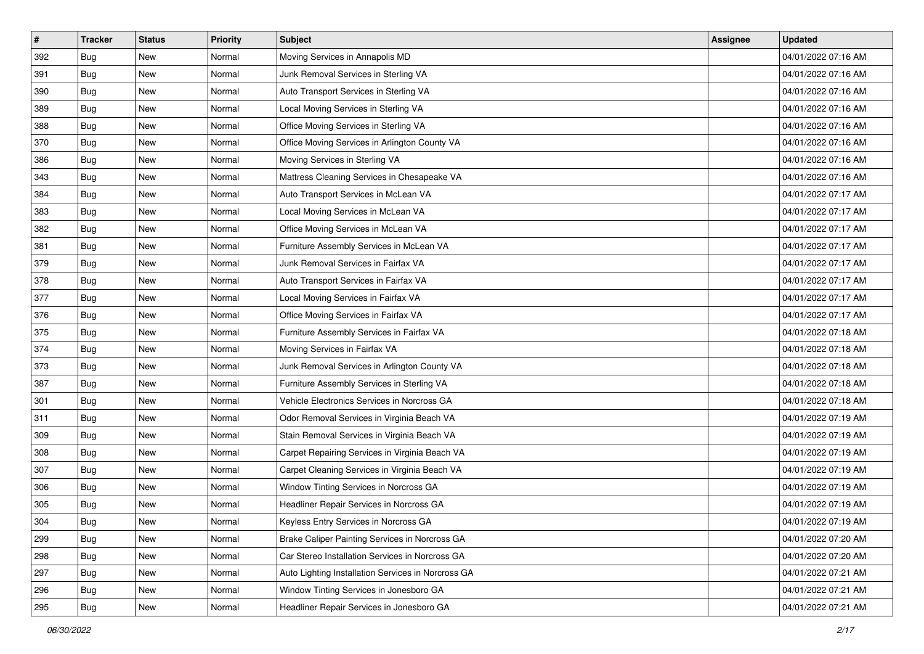| $\sharp$ | <b>Tracker</b> | <b>Status</b> | <b>Priority</b> | <b>Subject</b>                                     | <b>Assignee</b> | <b>Updated</b>      |
|----------|----------------|---------------|-----------------|----------------------------------------------------|-----------------|---------------------|
| 392      | Bug            | New           | Normal          | Moving Services in Annapolis MD                    |                 | 04/01/2022 07:16 AM |
| 391      | <b>Bug</b>     | New           | Normal          | Junk Removal Services in Sterling VA               |                 | 04/01/2022 07:16 AM |
| 390      | Bug            | New           | Normal          | Auto Transport Services in Sterling VA             |                 | 04/01/2022 07:16 AM |
| 389      | Bug            | <b>New</b>    | Normal          | Local Moving Services in Sterling VA               |                 | 04/01/2022 07:16 AM |
| 388      | Bug            | <b>New</b>    | Normal          | Office Moving Services in Sterling VA              |                 | 04/01/2022 07:16 AM |
| 370      | <b>Bug</b>     | <b>New</b>    | Normal          | Office Moving Services in Arlington County VA      |                 | 04/01/2022 07:16 AM |
| 386      | <b>Bug</b>     | New           | Normal          | Moving Services in Sterling VA                     |                 | 04/01/2022 07:16 AM |
| 343      | <b>Bug</b>     | New           | Normal          | Mattress Cleaning Services in Chesapeake VA        |                 | 04/01/2022 07:16 AM |
| 384      | Bug            | New           | Normal          | Auto Transport Services in McLean VA               |                 | 04/01/2022 07:17 AM |
| 383      | Bug            | <b>New</b>    | Normal          | Local Moving Services in McLean VA                 |                 | 04/01/2022 07:17 AM |
| 382      | Bug            | New           | Normal          | Office Moving Services in McLean VA                |                 | 04/01/2022 07:17 AM |
| 381      | Bug            | New           | Normal          | Furniture Assembly Services in McLean VA           |                 | 04/01/2022 07:17 AM |
| 379      | <b>Bug</b>     | <b>New</b>    | Normal          | Junk Removal Services in Fairfax VA                |                 | 04/01/2022 07:17 AM |
| 378      | <b>Bug</b>     | New           | Normal          | Auto Transport Services in Fairfax VA              |                 | 04/01/2022 07:17 AM |
| 377      | <b>Bug</b>     | <b>New</b>    | Normal          | Local Moving Services in Fairfax VA                |                 | 04/01/2022 07:17 AM |
| 376      | <b>Bug</b>     | New           | Normal          | Office Moving Services in Fairfax VA               |                 | 04/01/2022 07:17 AM |
| 375      | Bug            | <b>New</b>    | Normal          | Furniture Assembly Services in Fairfax VA          |                 | 04/01/2022 07:18 AM |
| 374      | <b>Bug</b>     | <b>New</b>    | Normal          | Moving Services in Fairfax VA                      |                 | 04/01/2022 07:18 AM |
| 373      | Bug            | New           | Normal          | Junk Removal Services in Arlington County VA       |                 | 04/01/2022 07:18 AM |
| 387      | <b>Bug</b>     | New           | Normal          | Furniture Assembly Services in Sterling VA         |                 | 04/01/2022 07:18 AM |
| 301      | Bug            | New           | Normal          | Vehicle Electronics Services in Norcross GA        |                 | 04/01/2022 07:18 AM |
| 311      | Bug            | New           | Normal          | Odor Removal Services in Virginia Beach VA         |                 | 04/01/2022 07:19 AM |
| 309      | <b>Bug</b>     | <b>New</b>    | Normal          | Stain Removal Services in Virginia Beach VA        |                 | 04/01/2022 07:19 AM |
| 308      | Bug            | New           | Normal          | Carpet Repairing Services in Virginia Beach VA     |                 | 04/01/2022 07:19 AM |
| 307      | Bug            | New           | Normal          | Carpet Cleaning Services in Virginia Beach VA      |                 | 04/01/2022 07:19 AM |
| 306      | Bug            | <b>New</b>    | Normal          | Window Tinting Services in Norcross GA             |                 | 04/01/2022 07:19 AM |
| 305      | Bug            | New           | Normal          | Headliner Repair Services in Norcross GA           |                 | 04/01/2022 07:19 AM |
| 304      | <b>Bug</b>     | New           | Normal          | Keyless Entry Services in Norcross GA              |                 | 04/01/2022 07:19 AM |
| 299      | Bug            | New           | Normal          | Brake Caliper Painting Services in Norcross GA     |                 | 04/01/2022 07:20 AM |
| 298      | Bug            | New           | Normal          | Car Stereo Installation Services in Norcross GA    |                 | 04/01/2022 07:20 AM |
| 297      | <b>Bug</b>     | New           | Normal          | Auto Lighting Installation Services in Norcross GA |                 | 04/01/2022 07:21 AM |
| 296      | Bug            | New           | Normal          | Window Tinting Services in Jonesboro GA            |                 | 04/01/2022 07:21 AM |
| 295      | Bug            | New           | Normal          | Headliner Repair Services in Jonesboro GA          |                 | 04/01/2022 07:21 AM |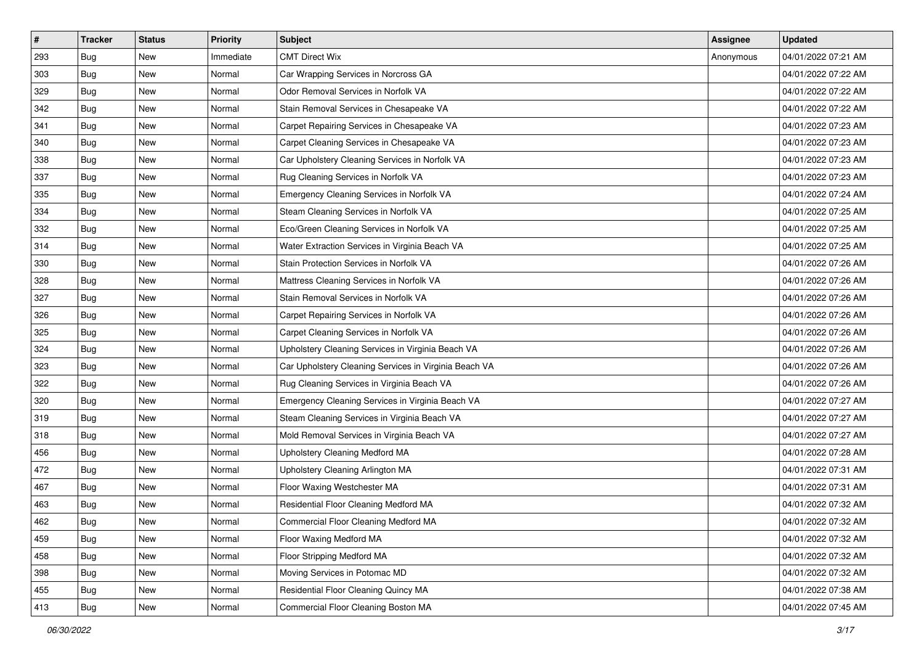| $\vert$ # | <b>Tracker</b> | <b>Status</b> | <b>Priority</b> | <b>Subject</b>                                        | <b>Assignee</b> | <b>Updated</b>      |
|-----------|----------------|---------------|-----------------|-------------------------------------------------------|-----------------|---------------------|
| 293       | Bug            | New           | Immediate       | <b>CMT Direct Wix</b>                                 | Anonymous       | 04/01/2022 07:21 AM |
| 303       | Bug            | <b>New</b>    | Normal          | Car Wrapping Services in Norcross GA                  |                 | 04/01/2022 07:22 AM |
| 329       | Bug            | New           | Normal          | Odor Removal Services in Norfolk VA                   |                 | 04/01/2022 07:22 AM |
| 342       | Bug            | <b>New</b>    | Normal          | Stain Removal Services in Chesapeake VA               |                 | 04/01/2022 07:22 AM |
| 341       | Bug            | New           | Normal          | Carpet Repairing Services in Chesapeake VA            |                 | 04/01/2022 07:23 AM |
| 340       | Bug            | New           | Normal          | Carpet Cleaning Services in Chesapeake VA             |                 | 04/01/2022 07:23 AM |
| 338       | Bug            | <b>New</b>    | Normal          | Car Upholstery Cleaning Services in Norfolk VA        |                 | 04/01/2022 07:23 AM |
| 337       | Bug            | New           | Normal          | Rug Cleaning Services in Norfolk VA                   |                 | 04/01/2022 07:23 AM |
| 335       | <b>Bug</b>     | New           | Normal          | Emergency Cleaning Services in Norfolk VA             |                 | 04/01/2022 07:24 AM |
| 334       | Bug            | <b>New</b>    | Normal          | Steam Cleaning Services in Norfolk VA                 |                 | 04/01/2022 07:25 AM |
| 332       | Bug            | New           | Normal          | Eco/Green Cleaning Services in Norfolk VA             |                 | 04/01/2022 07:25 AM |
| 314       | Bug            | New           | Normal          | Water Extraction Services in Virginia Beach VA        |                 | 04/01/2022 07:25 AM |
| 330       | Bug            | <b>New</b>    | Normal          | Stain Protection Services in Norfolk VA               |                 | 04/01/2022 07:26 AM |
| 328       | Bug            | New           | Normal          | Mattress Cleaning Services in Norfolk VA              |                 | 04/01/2022 07:26 AM |
| 327       | Bug            | <b>New</b>    | Normal          | Stain Removal Services in Norfolk VA                  |                 | 04/01/2022 07:26 AM |
| 326       | Bug            | New           | Normal          | Carpet Repairing Services in Norfolk VA               |                 | 04/01/2022 07:26 AM |
| 325       | Bug            | <b>New</b>    | Normal          | Carpet Cleaning Services in Norfolk VA                |                 | 04/01/2022 07:26 AM |
| 324       | Bug            | <b>New</b>    | Normal          | Upholstery Cleaning Services in Virginia Beach VA     |                 | 04/01/2022 07:26 AM |
| 323       | Bug            | New           | Normal          | Car Upholstery Cleaning Services in Virginia Beach VA |                 | 04/01/2022 07:26 AM |
| 322       | Bug            | <b>New</b>    | Normal          | Rug Cleaning Services in Virginia Beach VA            |                 | 04/01/2022 07:26 AM |
| 320       | Bug            | New           | Normal          | Emergency Cleaning Services in Virginia Beach VA      |                 | 04/01/2022 07:27 AM |
| 319       | Bug            | New           | Normal          | Steam Cleaning Services in Virginia Beach VA          |                 | 04/01/2022 07:27 AM |
| 318       | Bug            | <b>New</b>    | Normal          | Mold Removal Services in Virginia Beach VA            |                 | 04/01/2022 07:27 AM |
| 456       | Bug            | New           | Normal          | Upholstery Cleaning Medford MA                        |                 | 04/01/2022 07:28 AM |
| 472       | Bug            | New           | Normal          | Upholstery Cleaning Arlington MA                      |                 | 04/01/2022 07:31 AM |
| 467       | Bug            | <b>New</b>    | Normal          | Floor Waxing Westchester MA                           |                 | 04/01/2022 07:31 AM |
| 463       | Bug            | New           | Normal          | Residential Floor Cleaning Medford MA                 |                 | 04/01/2022 07:32 AM |
| 462       | <b>Bug</b>     | New           | Normal          | Commercial Floor Cleaning Medford MA                  |                 | 04/01/2022 07:32 AM |
| 459       | Bug            | New           | Normal          | Floor Waxing Medford MA                               |                 | 04/01/2022 07:32 AM |
| 458       | Bug            | New           | Normal          | Floor Stripping Medford MA                            |                 | 04/01/2022 07:32 AM |
| 398       | Bug            | New           | Normal          | Moving Services in Potomac MD                         |                 | 04/01/2022 07:32 AM |
| 455       | <b>Bug</b>     | New           | Normal          | Residential Floor Cleaning Quincy MA                  |                 | 04/01/2022 07:38 AM |
| 413       | <b>Bug</b>     | New           | Normal          | Commercial Floor Cleaning Boston MA                   |                 | 04/01/2022 07:45 AM |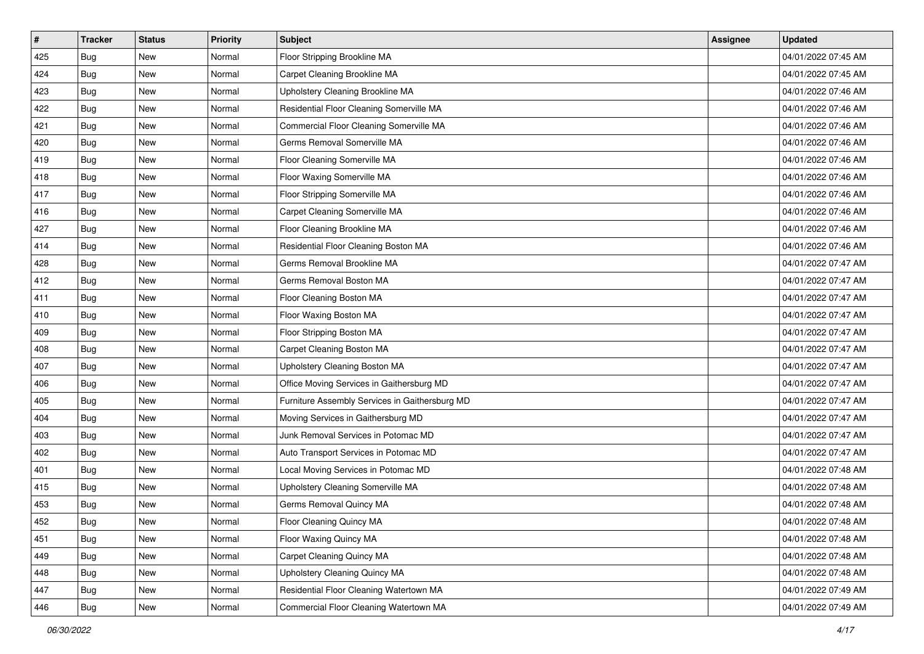| #   | <b>Tracker</b> | <b>Status</b> | <b>Priority</b> | Subject                                        | <b>Assignee</b> | <b>Updated</b>      |
|-----|----------------|---------------|-----------------|------------------------------------------------|-----------------|---------------------|
| 425 | Bug            | New           | Normal          | Floor Stripping Brookline MA                   |                 | 04/01/2022 07:45 AM |
| 424 | Bug            | <b>New</b>    | Normal          | Carpet Cleaning Brookline MA                   |                 | 04/01/2022 07:45 AM |
| 423 | Bug            | New           | Normal          | Upholstery Cleaning Brookline MA               |                 | 04/01/2022 07:46 AM |
| 422 | Bug            | <b>New</b>    | Normal          | Residential Floor Cleaning Somerville MA       |                 | 04/01/2022 07:46 AM |
| 421 | Bug            | <b>New</b>    | Normal          | Commercial Floor Cleaning Somerville MA        |                 | 04/01/2022 07:46 AM |
| 420 | <b>Bug</b>     | New           | Normal          | Germs Removal Somerville MA                    |                 | 04/01/2022 07:46 AM |
| 419 | Bug            | <b>New</b>    | Normal          | Floor Cleaning Somerville MA                   |                 | 04/01/2022 07:46 AM |
| 418 | Bug            | New           | Normal          | Floor Waxing Somerville MA                     |                 | 04/01/2022 07:46 AM |
| 417 | Bug            | <b>New</b>    | Normal          | Floor Stripping Somerville MA                  |                 | 04/01/2022 07:46 AM |
| 416 | Bug            | <b>New</b>    | Normal          | Carpet Cleaning Somerville MA                  |                 | 04/01/2022 07:46 AM |
| 427 | Bug            | <b>New</b>    | Normal          | Floor Cleaning Brookline MA                    |                 | 04/01/2022 07:46 AM |
| 414 | Bug            | New           | Normal          | Residential Floor Cleaning Boston MA           |                 | 04/01/2022 07:46 AM |
| 428 | Bug            | New           | Normal          | Germs Removal Brookline MA                     |                 | 04/01/2022 07:47 AM |
| 412 | Bug            | <b>New</b>    | Normal          | Germs Removal Boston MA                        |                 | 04/01/2022 07:47 AM |
| 411 | Bug            | <b>New</b>    | Normal          | Floor Cleaning Boston MA                       |                 | 04/01/2022 07:47 AM |
| 410 | Bug            | New           | Normal          | Floor Waxing Boston MA                         |                 | 04/01/2022 07:47 AM |
| 409 | Bug            | <b>New</b>    | Normal          | Floor Stripping Boston MA                      |                 | 04/01/2022 07:47 AM |
| 408 | Bug            | <b>New</b>    | Normal          | Carpet Cleaning Boston MA                      |                 | 04/01/2022 07:47 AM |
| 407 | Bug            | New           | Normal          | Upholstery Cleaning Boston MA                  |                 | 04/01/2022 07:47 AM |
| 406 | Bug            | <b>New</b>    | Normal          | Office Moving Services in Gaithersburg MD      |                 | 04/01/2022 07:47 AM |
| 405 | Bug            | New           | Normal          | Furniture Assembly Services in Gaithersburg MD |                 | 04/01/2022 07:47 AM |
| 404 | Bug            | <b>New</b>    | Normal          | Moving Services in Gaithersburg MD             |                 | 04/01/2022 07:47 AM |
| 403 | Bug            | <b>New</b>    | Normal          | Junk Removal Services in Potomac MD            |                 | 04/01/2022 07:47 AM |
| 402 | Bug            | <b>New</b>    | Normal          | Auto Transport Services in Potomac MD          |                 | 04/01/2022 07:47 AM |
| 401 | Bug            | <b>New</b>    | Normal          | Local Moving Services in Potomac MD            |                 | 04/01/2022 07:48 AM |
| 415 | Bug            | New           | Normal          | Upholstery Cleaning Somerville MA              |                 | 04/01/2022 07:48 AM |
| 453 | Bug            | New           | Normal          | Germs Removal Quincy MA                        |                 | 04/01/2022 07:48 AM |
| 452 | <b>Bug</b>     | New           | Normal          | Floor Cleaning Quincy MA                       |                 | 04/01/2022 07:48 AM |
| 451 | Bug            | New           | Normal          | Floor Waxing Quincy MA                         |                 | 04/01/2022 07:48 AM |
| 449 | Bug            | New           | Normal          | Carpet Cleaning Quincy MA                      |                 | 04/01/2022 07:48 AM |
| 448 | Bug            | New           | Normal          | Upholstery Cleaning Quincy MA                  |                 | 04/01/2022 07:48 AM |
| 447 | <b>Bug</b>     | New           | Normal          | Residential Floor Cleaning Watertown MA        |                 | 04/01/2022 07:49 AM |
| 446 | <b>Bug</b>     | New           | Normal          | Commercial Floor Cleaning Watertown MA         |                 | 04/01/2022 07:49 AM |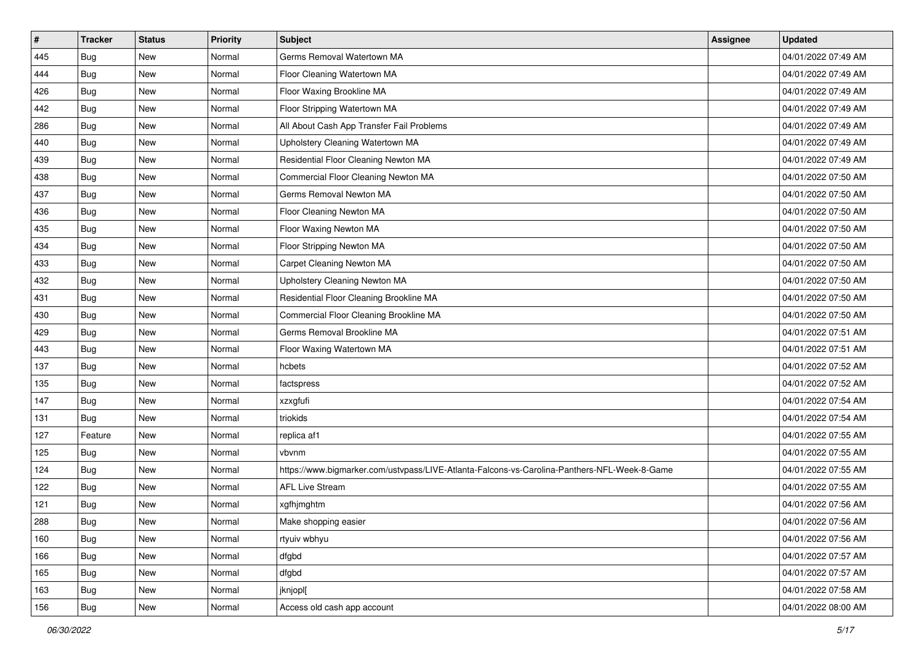| $\vert$ # | <b>Tracker</b> | <b>Status</b> | <b>Priority</b> | <b>Subject</b>                                                                               | <b>Assignee</b> | <b>Updated</b>      |
|-----------|----------------|---------------|-----------------|----------------------------------------------------------------------------------------------|-----------------|---------------------|
| 445       | Bug            | New           | Normal          | Germs Removal Watertown MA                                                                   |                 | 04/01/2022 07:49 AM |
| 444       | Bug            | <b>New</b>    | Normal          | Floor Cleaning Watertown MA                                                                  |                 | 04/01/2022 07:49 AM |
| 426       | Bug            | New           | Normal          | Floor Waxing Brookline MA                                                                    |                 | 04/01/2022 07:49 AM |
| 442       | Bug            | <b>New</b>    | Normal          | Floor Stripping Watertown MA                                                                 |                 | 04/01/2022 07:49 AM |
| 286       | Bug            | <b>New</b>    | Normal          | All About Cash App Transfer Fail Problems                                                    |                 | 04/01/2022 07:49 AM |
| 440       | Bug            | New           | Normal          | Upholstery Cleaning Watertown MA                                                             |                 | 04/01/2022 07:49 AM |
| 439       | Bug            | New           | Normal          | Residential Floor Cleaning Newton MA                                                         |                 | 04/01/2022 07:49 AM |
| 438       | Bug            | New           | Normal          | Commercial Floor Cleaning Newton MA                                                          |                 | 04/01/2022 07:50 AM |
| 437       | Bug            | <b>New</b>    | Normal          | Germs Removal Newton MA                                                                      |                 | 04/01/2022 07:50 AM |
| 436       | Bug            | New           | Normal          | Floor Cleaning Newton MA                                                                     |                 | 04/01/2022 07:50 AM |
| 435       | Bug            | New           | Normal          | Floor Waxing Newton MA                                                                       |                 | 04/01/2022 07:50 AM |
| 434       | Bug            | <b>New</b>    | Normal          | Floor Stripping Newton MA                                                                    |                 | 04/01/2022 07:50 AM |
| 433       | Bug            | New           | Normal          | Carpet Cleaning Newton MA                                                                    |                 | 04/01/2022 07:50 AM |
| 432       | Bug            | <b>New</b>    | Normal          | Upholstery Cleaning Newton MA                                                                |                 | 04/01/2022 07:50 AM |
| 431       | <b>Bug</b>     | <b>New</b>    | Normal          | Residential Floor Cleaning Brookline MA                                                      |                 | 04/01/2022 07:50 AM |
| 430       | Bug            | New           | Normal          | Commercial Floor Cleaning Brookline MA                                                       |                 | 04/01/2022 07:50 AM |
| 429       | Bug            | <b>New</b>    | Normal          | Germs Removal Brookline MA                                                                   |                 | 04/01/2022 07:51 AM |
| 443       | Bug            | <b>New</b>    | Normal          | Floor Waxing Watertown MA                                                                    |                 | 04/01/2022 07:51 AM |
| 137       | Bug            | New           | Normal          | hcbets                                                                                       |                 | 04/01/2022 07:52 AM |
| 135       | Bug            | <b>New</b>    | Normal          | factspress                                                                                   |                 | 04/01/2022 07:52 AM |
| 147       | Bug            | New           | Normal          | xzxgfufi                                                                                     |                 | 04/01/2022 07:54 AM |
| 131       | Bug            | <b>New</b>    | Normal          | triokids                                                                                     |                 | 04/01/2022 07:54 AM |
| 127       | Feature        | New           | Normal          | replica af1                                                                                  |                 | 04/01/2022 07:55 AM |
| 125       | Bug            | New           | Normal          | vbvnm                                                                                        |                 | 04/01/2022 07:55 AM |
| 124       | Bug            | <b>New</b>    | Normal          | https://www.bigmarker.com/ustvpass/LIVE-Atlanta-Falcons-vs-Carolina-Panthers-NFL-Week-8-Game |                 | 04/01/2022 07:55 AM |
| 122       | Bug            | New           | Normal          | <b>AFL Live Stream</b>                                                                       |                 | 04/01/2022 07:55 AM |
| 121       | <b>Bug</b>     | <b>New</b>    | Normal          | xgfhjmghtm                                                                                   |                 | 04/01/2022 07:56 AM |
| 288       | <b>Bug</b>     | New           | Normal          | Make shopping easier                                                                         |                 | 04/01/2022 07:56 AM |
| 160       | Bug            | New           | Normal          | rtyuiv wbhyu                                                                                 |                 | 04/01/2022 07:56 AM |
| 166       | Bug            | New           | Normal          | dfgbd                                                                                        |                 | 04/01/2022 07:57 AM |
| 165       | Bug            | New           | Normal          | dfgbd                                                                                        |                 | 04/01/2022 07:57 AM |
| 163       | Bug            | New           | Normal          | jknjopl[                                                                                     |                 | 04/01/2022 07:58 AM |
| 156       | <b>Bug</b>     | New           | Normal          | Access old cash app account                                                                  |                 | 04/01/2022 08:00 AM |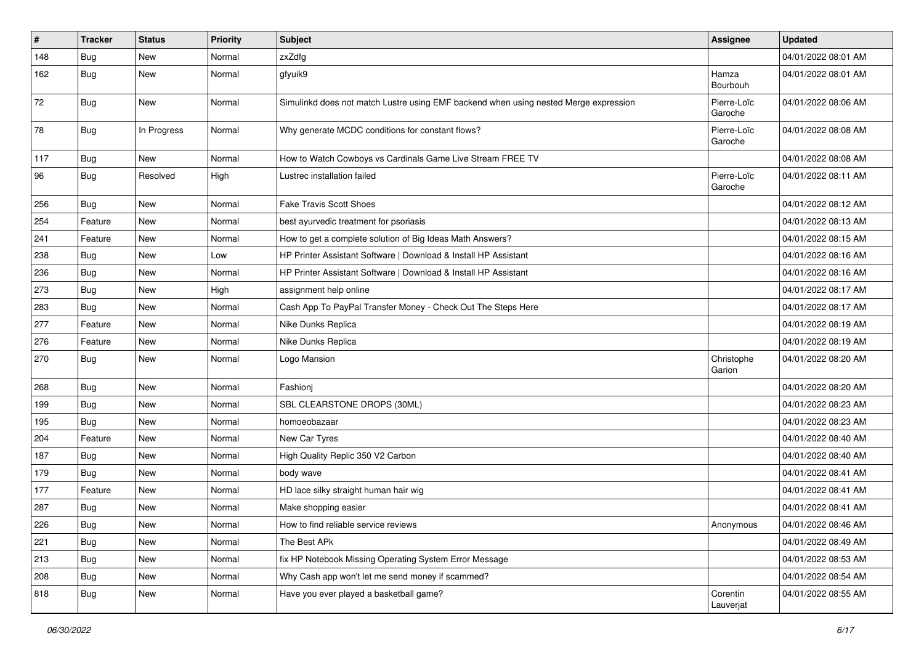| $\vert$ # | <b>Tracker</b> | <b>Status</b> | <b>Priority</b> | <b>Subject</b>                                                                       | <b>Assignee</b>        | <b>Updated</b>      |
|-----------|----------------|---------------|-----------------|--------------------------------------------------------------------------------------|------------------------|---------------------|
| 148       | <b>Bug</b>     | New           | Normal          | zxZdfg                                                                               |                        | 04/01/2022 08:01 AM |
| 162       | Bug            | <b>New</b>    | Normal          | gfyuik9                                                                              | Hamza<br>Bourbouh      | 04/01/2022 08:01 AM |
| 72        | Bug            | New           | Normal          | Simulinkd does not match Lustre using EMF backend when using nested Merge expression | Pierre-Loïc<br>Garoche | 04/01/2022 08:06 AM |
| 78        | Bug            | In Progress   | Normal          | Why generate MCDC conditions for constant flows?                                     | Pierre-Loïc<br>Garoche | 04/01/2022 08:08 AM |
| 117       | Bug            | <b>New</b>    | Normal          | How to Watch Cowboys vs Cardinals Game Live Stream FREE TV                           |                        | 04/01/2022 08:08 AM |
| 96        | Bug            | Resolved      | High            | Lustrec installation failed                                                          | Pierre-Loïc<br>Garoche | 04/01/2022 08:11 AM |
| 256       | Bug            | New           | Normal          | <b>Fake Travis Scott Shoes</b>                                                       |                        | 04/01/2022 08:12 AM |
| 254       | Feature        | <b>New</b>    | Normal          | best ayurvedic treatment for psoriasis                                               |                        | 04/01/2022 08:13 AM |
| 241       | Feature        | <b>New</b>    | Normal          | How to get a complete solution of Big Ideas Math Answers?                            |                        | 04/01/2022 08:15 AM |
| 238       | Bug            | New           | Low             | HP Printer Assistant Software   Download & Install HP Assistant                      |                        | 04/01/2022 08:16 AM |
| 236       | <b>Bug</b>     | New           | Normal          | HP Printer Assistant Software   Download & Install HP Assistant                      |                        | 04/01/2022 08:16 AM |
| 273       | Bug            | <b>New</b>    | High            | assignment help online                                                               |                        | 04/01/2022 08:17 AM |
| 283       | Bug            | <b>New</b>    | Normal          | Cash App To PayPal Transfer Money - Check Out The Steps Here                         |                        | 04/01/2022 08:17 AM |
| 277       | Feature        | <b>New</b>    | Normal          | Nike Dunks Replica                                                                   |                        | 04/01/2022 08:19 AM |
| 276       | Feature        | New           | Normal          | Nike Dunks Replica                                                                   |                        | 04/01/2022 08:19 AM |
| 270       | Bug            | New           | Normal          | Logo Mansion                                                                         | Christophe<br>Garion   | 04/01/2022 08:20 AM |
| 268       | Bug            | <b>New</b>    | Normal          | Fashionj                                                                             |                        | 04/01/2022 08:20 AM |
| 199       | Bug            | <b>New</b>    | Normal          | SBL CLEARSTONE DROPS (30ML)                                                          |                        | 04/01/2022 08:23 AM |
| 195       | Bug            | <b>New</b>    | Normal          | homoeobazaar                                                                         |                        | 04/01/2022 08:23 AM |
| 204       | Feature        | <b>New</b>    | Normal          | New Car Tyres                                                                        |                        | 04/01/2022 08:40 AM |
| 187       | <b>Bug</b>     | <b>New</b>    | Normal          | High Quality Replic 350 V2 Carbon                                                    |                        | 04/01/2022 08:40 AM |
| 179       | Bug            | New           | Normal          | body wave                                                                            |                        | 04/01/2022 08:41 AM |
| 177       | Feature        | New           | Normal          | HD lace silky straight human hair wig                                                |                        | 04/01/2022 08:41 AM |
| 287       | Bug            | <b>New</b>    | Normal          | Make shopping easier                                                                 |                        | 04/01/2022 08:41 AM |
| 226       | Bug            | New           | Normal          | How to find reliable service reviews                                                 | Anonymous              | 04/01/2022 08:46 AM |
| 221       | Bug            | New           | Normal          | The Best APk                                                                         |                        | 04/01/2022 08:49 AM |
| 213       | Bug            | New           | Normal          | fix HP Notebook Missing Operating System Error Message                               |                        | 04/01/2022 08:53 AM |
| 208       | Bug            | New           | Normal          | Why Cash app won't let me send money if scammed?                                     |                        | 04/01/2022 08:54 AM |
| 818       | <b>Bug</b>     | New           | Normal          | Have you ever played a basketball game?                                              | Corentin<br>Lauverjat  | 04/01/2022 08:55 AM |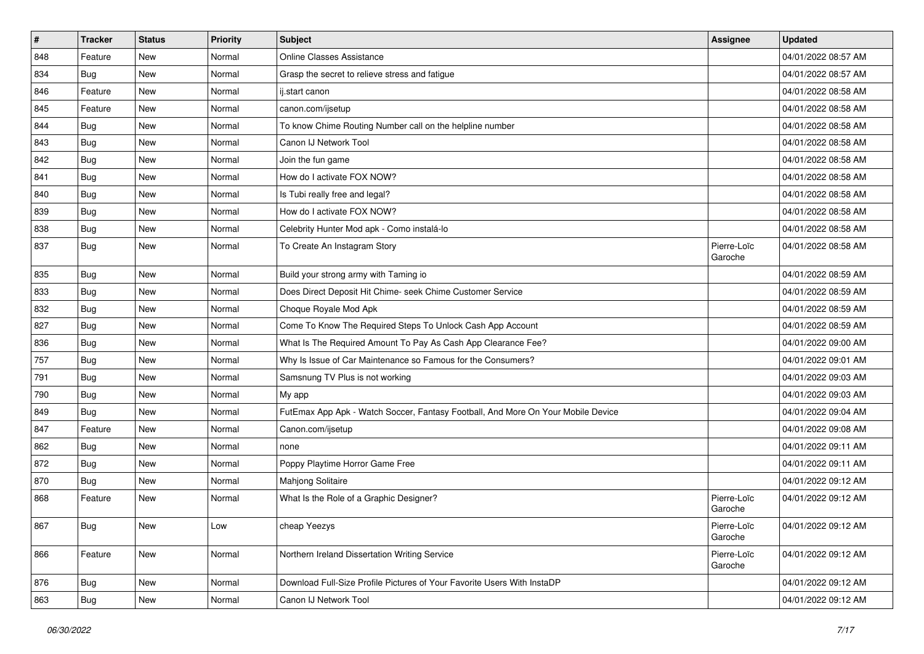| $\vert$ # | <b>Tracker</b> | <b>Status</b> | <b>Priority</b> | <b>Subject</b>                                                                   | Assignee               | <b>Updated</b>      |
|-----------|----------------|---------------|-----------------|----------------------------------------------------------------------------------|------------------------|---------------------|
| 848       | Feature        | <b>New</b>    | Normal          | <b>Online Classes Assistance</b>                                                 |                        | 04/01/2022 08:57 AM |
| 834       | Bug            | <b>New</b>    | Normal          | Grasp the secret to relieve stress and fatigue                                   |                        | 04/01/2022 08:57 AM |
| 846       | Feature        | New           | Normal          | ij.start canon                                                                   |                        | 04/01/2022 08:58 AM |
| 845       | Feature        | <b>New</b>    | Normal          | canon.com/ijsetup                                                                |                        | 04/01/2022 08:58 AM |
| 844       | Bug            | <b>New</b>    | Normal          | To know Chime Routing Number call on the helpline number                         |                        | 04/01/2022 08:58 AM |
| 843       | Bug            | <b>New</b>    | Normal          | Canon IJ Network Tool                                                            |                        | 04/01/2022 08:58 AM |
| 842       | Bug            | <b>New</b>    | Normal          | Join the fun game                                                                |                        | 04/01/2022 08:58 AM |
| 841       | Bug            | <b>New</b>    | Normal          | How do I activate FOX NOW?                                                       |                        | 04/01/2022 08:58 AM |
| 840       | <b>Bug</b>     | <b>New</b>    | Normal          | Is Tubi really free and legal?                                                   |                        | 04/01/2022 08:58 AM |
| 839       | Bug            | New           | Normal          | How do I activate FOX NOW?                                                       |                        | 04/01/2022 08:58 AM |
| 838       | Bug            | <b>New</b>    | Normal          | Celebrity Hunter Mod apk - Como instalá-lo                                       |                        | 04/01/2022 08:58 AM |
| 837       | Bug            | <b>New</b>    | Normal          | To Create An Instagram Story                                                     | Pierre-Loïc<br>Garoche | 04/01/2022 08:58 AM |
| 835       | Bug            | <b>New</b>    | Normal          | Build your strong army with Taming io                                            |                        | 04/01/2022 08:59 AM |
| 833       | Bug            | <b>New</b>    | Normal          | Does Direct Deposit Hit Chime- seek Chime Customer Service                       |                        | 04/01/2022 08:59 AM |
| 832       | Bug            | New           | Normal          | Choque Royale Mod Apk                                                            |                        | 04/01/2022 08:59 AM |
| 827       | <b>Bug</b>     | <b>New</b>    | Normal          | Come To Know The Required Steps To Unlock Cash App Account                       |                        | 04/01/2022 08:59 AM |
| 836       | Bug            | <b>New</b>    | Normal          | What Is The Required Amount To Pay As Cash App Clearance Fee?                    |                        | 04/01/2022 09:00 AM |
| 757       | <b>Bug</b>     | <b>New</b>    | Normal          | Why Is Issue of Car Maintenance so Famous for the Consumers?                     |                        | 04/01/2022 09:01 AM |
| 791       | Bug            | <b>New</b>    | Normal          | Samsnung TV Plus is not working                                                  |                        | 04/01/2022 09:03 AM |
| 790       | Bug            | New           | Normal          | My app                                                                           |                        | 04/01/2022 09:03 AM |
| 849       | <b>Bug</b>     | <b>New</b>    | Normal          | FutEmax App Apk - Watch Soccer, Fantasy Football, And More On Your Mobile Device |                        | 04/01/2022 09:04 AM |
| 847       | Feature        | <b>New</b>    | Normal          | Canon.com/ijsetup                                                                |                        | 04/01/2022 09:08 AM |
| 862       | <b>Bug</b>     | <b>New</b>    | Normal          | none                                                                             |                        | 04/01/2022 09:11 AM |
| 872       | Bug            | <b>New</b>    | Normal          | Poppy Playtime Horror Game Free                                                  |                        | 04/01/2022 09:11 AM |
| 870       | Bug            | <b>New</b>    | Normal          | Mahjong Solitaire                                                                |                        | 04/01/2022 09:12 AM |
| 868       | Feature        | <b>New</b>    | Normal          | What Is the Role of a Graphic Designer?                                          | Pierre-Loïc<br>Garoche | 04/01/2022 09:12 AM |
| 867       | Bug            | New           | Low             | cheap Yeezys                                                                     | Pierre-Loïc<br>Garoche | 04/01/2022 09:12 AM |
| 866       | Feature        | New           | Normal          | Northern Ireland Dissertation Writing Service                                    | Pierre-Loïc<br>Garoche | 04/01/2022 09:12 AM |
| 876       | <b>Bug</b>     | New           | Normal          | Download Full-Size Profile Pictures of Your Favorite Users With InstaDP          |                        | 04/01/2022 09:12 AM |
| 863       | <b>Bug</b>     | New           | Normal          | Canon IJ Network Tool                                                            |                        | 04/01/2022 09:12 AM |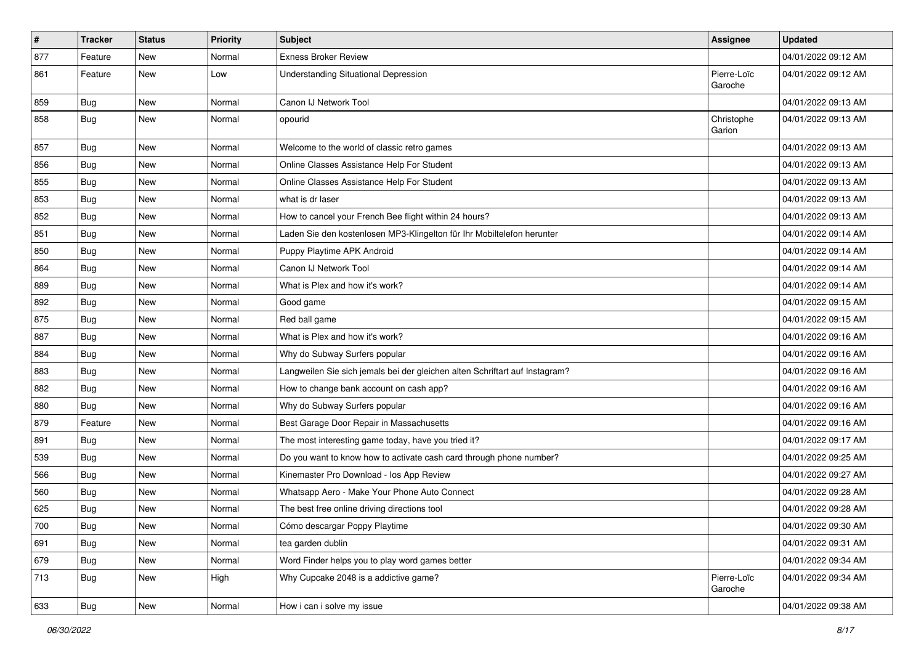| $\vert$ # | <b>Tracker</b> | <b>Status</b> | <b>Priority</b> | <b>Subject</b>                                                              | Assignee               | <b>Updated</b>      |
|-----------|----------------|---------------|-----------------|-----------------------------------------------------------------------------|------------------------|---------------------|
| 877       | Feature        | <b>New</b>    | Normal          | <b>Exness Broker Review</b>                                                 |                        | 04/01/2022 09:12 AM |
| 861       | Feature        | <b>New</b>    | Low             | <b>Understanding Situational Depression</b>                                 | Pierre-Loïc<br>Garoche | 04/01/2022 09:12 AM |
| 859       | Bug            | <b>New</b>    | Normal          | Canon IJ Network Tool                                                       |                        | 04/01/2022 09:13 AM |
| 858       | Bug            | <b>New</b>    | Normal          | opourid                                                                     | Christophe<br>Garion   | 04/01/2022 09:13 AM |
| 857       | Bug            | <b>New</b>    | Normal          | Welcome to the world of classic retro games                                 |                        | 04/01/2022 09:13 AM |
| 856       | Bug            | <b>New</b>    | Normal          | Online Classes Assistance Help For Student                                  |                        | 04/01/2022 09:13 AM |
| 855       | Bug            | <b>New</b>    | Normal          | Online Classes Assistance Help For Student                                  |                        | 04/01/2022 09:13 AM |
| 853       | Bug            | <b>New</b>    | Normal          | what is dr laser                                                            |                        | 04/01/2022 09:13 AM |
| 852       | Bug            | <b>New</b>    | Normal          | How to cancel your French Bee flight within 24 hours?                       |                        | 04/01/2022 09:13 AM |
| 851       | Bug            | <b>New</b>    | Normal          | Laden Sie den kostenlosen MP3-Klingelton für Ihr Mobiltelefon herunter      |                        | 04/01/2022 09:14 AM |
| 850       | Bug            | <b>New</b>    | Normal          | Puppy Playtime APK Android                                                  |                        | 04/01/2022 09:14 AM |
| 864       | Bug            | <b>New</b>    | Normal          | Canon IJ Network Tool                                                       |                        | 04/01/2022 09:14 AM |
| 889       | Bug            | <b>New</b>    | Normal          | What is Plex and how it's work?                                             |                        | 04/01/2022 09:14 AM |
| 892       | Bug            | <b>New</b>    | Normal          | Good game                                                                   |                        | 04/01/2022 09:15 AM |
| 875       | Bug            | <b>New</b>    | Normal          | Red ball game                                                               |                        | 04/01/2022 09:15 AM |
| 887       | Bug            | <b>New</b>    | Normal          | What is Plex and how it's work?                                             |                        | 04/01/2022 09:16 AM |
| 884       | Bug            | <b>New</b>    | Normal          | Why do Subway Surfers popular                                               |                        | 04/01/2022 09:16 AM |
| 883       | Bug            | <b>New</b>    | Normal          | Langweilen Sie sich jemals bei der gleichen alten Schriftart auf Instagram? |                        | 04/01/2022 09:16 AM |
| 882       | Bug            | <b>New</b>    | Normal          | How to change bank account on cash app?                                     |                        | 04/01/2022 09:16 AM |
| 880       | Bug            | <b>New</b>    | Normal          | Why do Subway Surfers popular                                               |                        | 04/01/2022 09:16 AM |
| 879       | Feature        | <b>New</b>    | Normal          | Best Garage Door Repair in Massachusetts                                    |                        | 04/01/2022 09:16 AM |
| 891       | Bug            | <b>New</b>    | Normal          | The most interesting game today, have you tried it?                         |                        | 04/01/2022 09:17 AM |
| 539       | Bug            | <b>New</b>    | Normal          | Do you want to know how to activate cash card through phone number?         |                        | 04/01/2022 09:25 AM |
| 566       | Bug            | <b>New</b>    | Normal          | Kinemaster Pro Download - los App Review                                    |                        | 04/01/2022 09:27 AM |
| 560       | Bug            | <b>New</b>    | Normal          | Whatsapp Aero - Make Your Phone Auto Connect                                |                        | 04/01/2022 09:28 AM |
| 625       | <b>Bug</b>     | <b>New</b>    | Normal          | The best free online driving directions tool                                |                        | 04/01/2022 09:28 AM |
| 700       | <b>Bug</b>     | New           | Normal          | Cómo descargar Poppy Playtime                                               |                        | 04/01/2022 09:30 AM |
| 691       | Bug            | New           | Normal          | tea garden dublin                                                           |                        | 04/01/2022 09:31 AM |
| 679       | Bug            | New           | Normal          | Word Finder helps you to play word games better                             |                        | 04/01/2022 09:34 AM |
| 713       | <b>Bug</b>     | New           | High            | Why Cupcake 2048 is a addictive game?                                       | Pierre-Loïc<br>Garoche | 04/01/2022 09:34 AM |
| 633       | Bug            | New           | Normal          | How i can i solve my issue                                                  |                        | 04/01/2022 09:38 AM |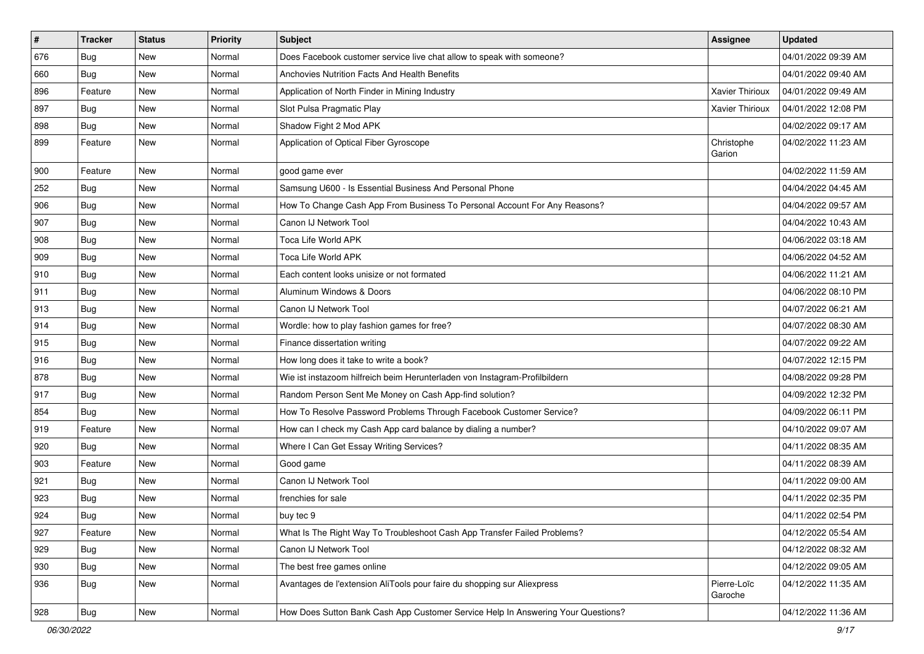| $\vert$ # | <b>Tracker</b> | <b>Status</b> | <b>Priority</b> | <b>Subject</b>                                                                   | <b>Assignee</b>        | <b>Updated</b>      |
|-----------|----------------|---------------|-----------------|----------------------------------------------------------------------------------|------------------------|---------------------|
| 676       | <b>Bug</b>     | <b>New</b>    | Normal          | Does Facebook customer service live chat allow to speak with someone?            |                        | 04/01/2022 09:39 AM |
| 660       | Bug            | <b>New</b>    | Normal          | <b>Anchovies Nutrition Facts And Health Benefits</b>                             |                        | 04/01/2022 09:40 AM |
| 896       | Feature        | <b>New</b>    | Normal          | Application of North Finder in Mining Industry                                   | Xavier Thirioux        | 04/01/2022 09:49 AM |
| 897       | <b>Bug</b>     | <b>New</b>    | Normal          | Slot Pulsa Pragmatic Play                                                        | <b>Xavier Thirioux</b> | 04/01/2022 12:08 PM |
| 898       | Bug            | <b>New</b>    | Normal          | Shadow Fight 2 Mod APK                                                           |                        | 04/02/2022 09:17 AM |
| 899       | Feature        | <b>New</b>    | Normal          | Application of Optical Fiber Gyroscope                                           | Christophe<br>Garion   | 04/02/2022 11:23 AM |
| 900       | Feature        | <b>New</b>    | Normal          | good game ever                                                                   |                        | 04/02/2022 11:59 AM |
| 252       | Bug            | <b>New</b>    | Normal          | Samsung U600 - Is Essential Business And Personal Phone                          |                        | 04/04/2022 04:45 AM |
| 906       | Bug            | <b>New</b>    | Normal          | How To Change Cash App From Business To Personal Account For Any Reasons?        |                        | 04/04/2022 09:57 AM |
| 907       | Bug            | <b>New</b>    | Normal          | Canon IJ Network Tool                                                            |                        | 04/04/2022 10:43 AM |
| 908       | <b>Bug</b>     | <b>New</b>    | Normal          | Toca Life World APK                                                              |                        | 04/06/2022 03:18 AM |
| 909       | Bug            | <b>New</b>    | Normal          | Toca Life World APK                                                              |                        | 04/06/2022 04:52 AM |
| 910       | Bug            | <b>New</b>    | Normal          | Each content looks unisize or not formated                                       |                        | 04/06/2022 11:21 AM |
| 911       | Bug            | <b>New</b>    | Normal          | Aluminum Windows & Doors                                                         |                        | 04/06/2022 08:10 PM |
| 913       | Bug            | <b>New</b>    | Normal          | Canon IJ Network Tool                                                            |                        | 04/07/2022 06:21 AM |
| 914       | Bug            | <b>New</b>    | Normal          | Wordle: how to play fashion games for free?                                      |                        | 04/07/2022 08:30 AM |
| 915       | Bug            | <b>New</b>    | Normal          | Finance dissertation writing                                                     |                        | 04/07/2022 09:22 AM |
| 916       | <b>Bug</b>     | <b>New</b>    | Normal          | How long does it take to write a book?                                           |                        | 04/07/2022 12:15 PM |
| 878       | Bug            | <b>New</b>    | Normal          | Wie ist instazoom hilfreich beim Herunterladen von Instagram-Profilbildern       |                        | 04/08/2022 09:28 PM |
| 917       | Bug            | <b>New</b>    | Normal          | Random Person Sent Me Money on Cash App-find solution?                           |                        | 04/09/2022 12:32 PM |
| 854       | Bug            | <b>New</b>    | Normal          | How To Resolve Password Problems Through Facebook Customer Service?              |                        | 04/09/2022 06:11 PM |
| 919       | Feature        | <b>New</b>    | Normal          | How can I check my Cash App card balance by dialing a number?                    |                        | 04/10/2022 09:07 AM |
| 920       | Bug            | New           | Normal          | Where I Can Get Essay Writing Services?                                          |                        | 04/11/2022 08:35 AM |
| 903       | Feature        | <b>New</b>    | Normal          | Good game                                                                        |                        | 04/11/2022 08:39 AM |
| 921       | Bug            | <b>New</b>    | Normal          | Canon IJ Network Tool                                                            |                        | 04/11/2022 09:00 AM |
| 923       | <b>Bug</b>     | <b>New</b>    | Normal          | frenchies for sale                                                               |                        | 04/11/2022 02:35 PM |
| 924       | <b>Bug</b>     | <b>New</b>    | Normal          | buy tec 9                                                                        |                        | 04/11/2022 02:54 PM |
| 927       | Feature        | New           | Normal          | What Is The Right Way To Troubleshoot Cash App Transfer Failed Problems?         |                        | 04/12/2022 05:54 AM |
| 929       | <b>Bug</b>     | New           | Normal          | Canon IJ Network Tool                                                            |                        | 04/12/2022 08:32 AM |
| 930       | Bug            | New           | Normal          | The best free games online                                                       |                        | 04/12/2022 09:05 AM |
| 936       | Bug            | New           | Normal          | Avantages de l'extension AliTools pour faire du shopping sur Aliexpress          | Pierre-Loïc<br>Garoche | 04/12/2022 11:35 AM |
| 928       | Bug            | New           | Normal          | How Does Sutton Bank Cash App Customer Service Help In Answering Your Questions? |                        | 04/12/2022 11:36 AM |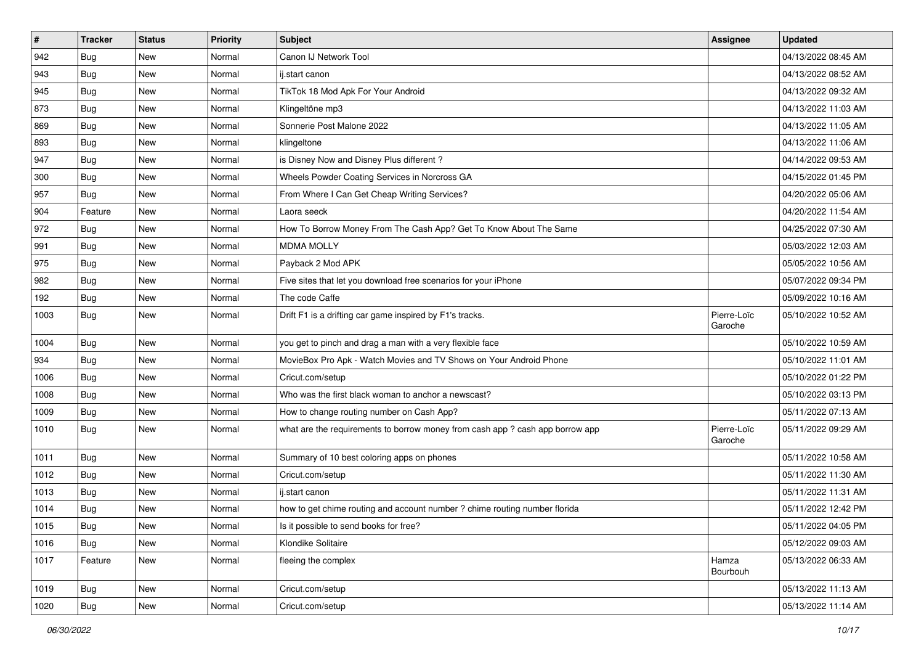| $\sharp$ | <b>Tracker</b> | <b>Status</b> | <b>Priority</b> | <b>Subject</b>                                                                | Assignee               | <b>Updated</b>      |
|----------|----------------|---------------|-----------------|-------------------------------------------------------------------------------|------------------------|---------------------|
| 942      | <b>Bug</b>     | New           | Normal          | Canon IJ Network Tool                                                         |                        | 04/13/2022 08:45 AM |
| 943      | <b>Bug</b>     | <b>New</b>    | Normal          | ij.start canon                                                                |                        | 04/13/2022 08:52 AM |
| 945      | <b>Bug</b>     | New           | Normal          | TikTok 18 Mod Apk For Your Android                                            |                        | 04/13/2022 09:32 AM |
| 873      | Bug            | New           | Normal          | Klingeltöne mp3                                                               |                        | 04/13/2022 11:03 AM |
| 869      | <b>Bug</b>     | <b>New</b>    | Normal          | Sonnerie Post Malone 2022                                                     |                        | 04/13/2022 11:05 AM |
| 893      | <b>Bug</b>     | New           | Normal          | klingeltone                                                                   |                        | 04/13/2022 11:06 AM |
| 947      | Bug            | <b>New</b>    | Normal          | is Disney Now and Disney Plus different?                                      |                        | 04/14/2022 09:53 AM |
| 300      | <b>Bug</b>     | New           | Normal          | Wheels Powder Coating Services in Norcross GA                                 |                        | 04/15/2022 01:45 PM |
| 957      | Bug            | New           | Normal          | From Where I Can Get Cheap Writing Services?                                  |                        | 04/20/2022 05:06 AM |
| 904      | Feature        | <b>New</b>    | Normal          | Laora seeck                                                                   |                        | 04/20/2022 11:54 AM |
| 972      | Bug            | New           | Normal          | How To Borrow Money From The Cash App? Get To Know About The Same             |                        | 04/25/2022 07:30 AM |
| 991      | Bug            | New           | Normal          | <b>MDMA MOLLY</b>                                                             |                        | 05/03/2022 12:03 AM |
| 975      | Bug            | New           | Normal          | Payback 2 Mod APK                                                             |                        | 05/05/2022 10:56 AM |
| 982      | Bug            | New           | Normal          | Five sites that let you download free scenarios for your iPhone               |                        | 05/07/2022 09:34 PM |
| 192      | Bug            | <b>New</b>    | Normal          | The code Caffe                                                                |                        | 05/09/2022 10:16 AM |
| 1003     | <b>Bug</b>     | New           | Normal          | Drift F1 is a drifting car game inspired by F1's tracks.                      | Pierre-Loïc<br>Garoche | 05/10/2022 10:52 AM |
| 1004     | Bug            | <b>New</b>    | Normal          | you get to pinch and drag a man with a very flexible face                     |                        | 05/10/2022 10:59 AM |
| 934      | Bug            | <b>New</b>    | Normal          | MovieBox Pro Apk - Watch Movies and TV Shows on Your Android Phone            |                        | 05/10/2022 11:01 AM |
| 1006     | Bug            | <b>New</b>    | Normal          | Cricut.com/setup                                                              |                        | 05/10/2022 01:22 PM |
| 1008     | Bug            | New           | Normal          | Who was the first black woman to anchor a newscast?                           |                        | 05/10/2022 03:13 PM |
| 1009     | Bug            | New           | Normal          | How to change routing number on Cash App?                                     |                        | 05/11/2022 07:13 AM |
| 1010     | Bug            | <b>New</b>    | Normal          | what are the requirements to borrow money from cash app ? cash app borrow app | Pierre-Loïc<br>Garoche | 05/11/2022 09:29 AM |
| 1011     | Bug            | <b>New</b>    | Normal          | Summary of 10 best coloring apps on phones                                    |                        | 05/11/2022 10:58 AM |
| 1012     | Bug            | <b>New</b>    | Normal          | Cricut.com/setup                                                              |                        | 05/11/2022 11:30 AM |
| 1013     | <b>Bug</b>     | <b>New</b>    | Normal          | ii.start canon                                                                |                        | 05/11/2022 11:31 AM |
| 1014     | Bug            | <b>New</b>    | Normal          | how to get chime routing and account number ? chime routing number florida    |                        | 05/11/2022 12:42 PM |
| 1015     | Bug            | New           | Normal          | Is it possible to send books for free?                                        |                        | 05/11/2022 04:05 PM |
| 1016     | Bug            | New           | Normal          | Klondike Solitaire                                                            |                        | 05/12/2022 09:03 AM |
| 1017     | Feature        | New           | Normal          | fleeing the complex                                                           | Hamza<br>Bourbouh      | 05/13/2022 06:33 AM |
| 1019     | Bug            | New           | Normal          | Cricut.com/setup                                                              |                        | 05/13/2022 11:13 AM |
| 1020     | Bug            | New           | Normal          | Cricut.com/setup                                                              |                        | 05/13/2022 11:14 AM |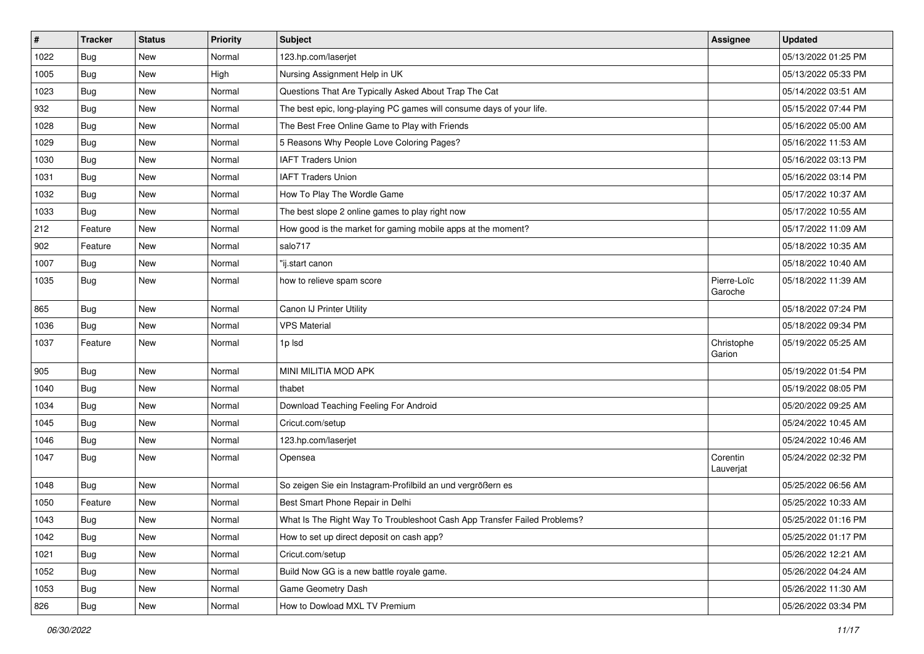| $\pmb{\sharp}$ | <b>Tracker</b> | <b>Status</b> | <b>Priority</b> | <b>Subject</b>                                                           | Assignee               | <b>Updated</b>      |
|----------------|----------------|---------------|-----------------|--------------------------------------------------------------------------|------------------------|---------------------|
| 1022           | Bug            | New           | Normal          | 123.hp.com/laserjet                                                      |                        | 05/13/2022 01:25 PM |
| 1005           | Bug            | New           | High            | Nursing Assignment Help in UK                                            |                        | 05/13/2022 05:33 PM |
| 1023           | Bug            | New           | Normal          | Questions That Are Typically Asked About Trap The Cat                    |                        | 05/14/2022 03:51 AM |
| 932            | Bug            | New           | Normal          | The best epic, long-playing PC games will consume days of your life.     |                        | 05/15/2022 07:44 PM |
| 1028           | Bug            | <b>New</b>    | Normal          | The Best Free Online Game to Play with Friends                           |                        | 05/16/2022 05:00 AM |
| 1029           | Bug            | New           | Normal          | 5 Reasons Why People Love Coloring Pages?                                |                        | 05/16/2022 11:53 AM |
| 1030           | Bug            | <b>New</b>    | Normal          | <b>IAFT Traders Union</b>                                                |                        | 05/16/2022 03:13 PM |
| 1031           | Bug            | New           | Normal          | <b>IAFT Traders Union</b>                                                |                        | 05/16/2022 03:14 PM |
| 1032           | Bug            | New           | Normal          | How To Play The Wordle Game                                              |                        | 05/17/2022 10:37 AM |
| 1033           | Bug            | <b>New</b>    | Normal          | The best slope 2 online games to play right now                          |                        | 05/17/2022 10:55 AM |
| 212            | Feature        | New           | Normal          | How good is the market for gaming mobile apps at the moment?             |                        | 05/17/2022 11:09 AM |
| 902            | Feature        | New           | Normal          | salo717                                                                  |                        | 05/18/2022 10:35 AM |
| 1007           | Bug            | <b>New</b>    | Normal          | "ij.start canon                                                          |                        | 05/18/2022 10:40 AM |
| 1035           | Bug            | New           | Normal          | how to relieve spam score                                                | Pierre-Loïc<br>Garoche | 05/18/2022 11:39 AM |
| 865            | Bug            | New           | Normal          | Canon IJ Printer Utility                                                 |                        | 05/18/2022 07:24 PM |
| 1036           | Bug            | <b>New</b>    | Normal          | <b>VPS Material</b>                                                      |                        | 05/18/2022 09:34 PM |
| 1037           | Feature        | <b>New</b>    | Normal          | 1p Isd                                                                   | Christophe<br>Garion   | 05/19/2022 05:25 AM |
| 905            | Bug            | <b>New</b>    | Normal          | MINI MILITIA MOD APK                                                     |                        | 05/19/2022 01:54 PM |
| 1040           | Bug            | <b>New</b>    | Normal          | thabet                                                                   |                        | 05/19/2022 08:05 PM |
| 1034           | Bug            | New           | Normal          | Download Teaching Feeling For Android                                    |                        | 05/20/2022 09:25 AM |
| 1045           | Bug            | <b>New</b>    | Normal          | Cricut.com/setup                                                         |                        | 05/24/2022 10:45 AM |
| 1046           | Bug            | New           | Normal          | 123.hp.com/laserjet                                                      |                        | 05/24/2022 10:46 AM |
| 1047           | Bug            | New           | Normal          | Opensea                                                                  | Corentin<br>Lauverjat  | 05/24/2022 02:32 PM |
| 1048           | Bug            | New           | Normal          | So zeigen Sie ein Instagram-Profilbild an und vergrößern es              |                        | 05/25/2022 06:56 AM |
| 1050           | Feature        | New           | Normal          | Best Smart Phone Repair in Delhi                                         |                        | 05/25/2022 10:33 AM |
| 1043           | Bug            | New           | Normal          | What Is The Right Way To Troubleshoot Cash App Transfer Failed Problems? |                        | 05/25/2022 01:16 PM |
| 1042           | Bug            | New           | Normal          | How to set up direct deposit on cash app?                                |                        | 05/25/2022 01:17 PM |
| 1021           | Bug            | New           | Normal          | Cricut.com/setup                                                         |                        | 05/26/2022 12:21 AM |
| 1052           | Bug            | New           | Normal          | Build Now GG is a new battle royale game.                                |                        | 05/26/2022 04:24 AM |
| 1053           | Bug            | New           | Normal          | Game Geometry Dash                                                       |                        | 05/26/2022 11:30 AM |
| 826            | <b>Bug</b>     | New           | Normal          | How to Dowload MXL TV Premium                                            |                        | 05/26/2022 03:34 PM |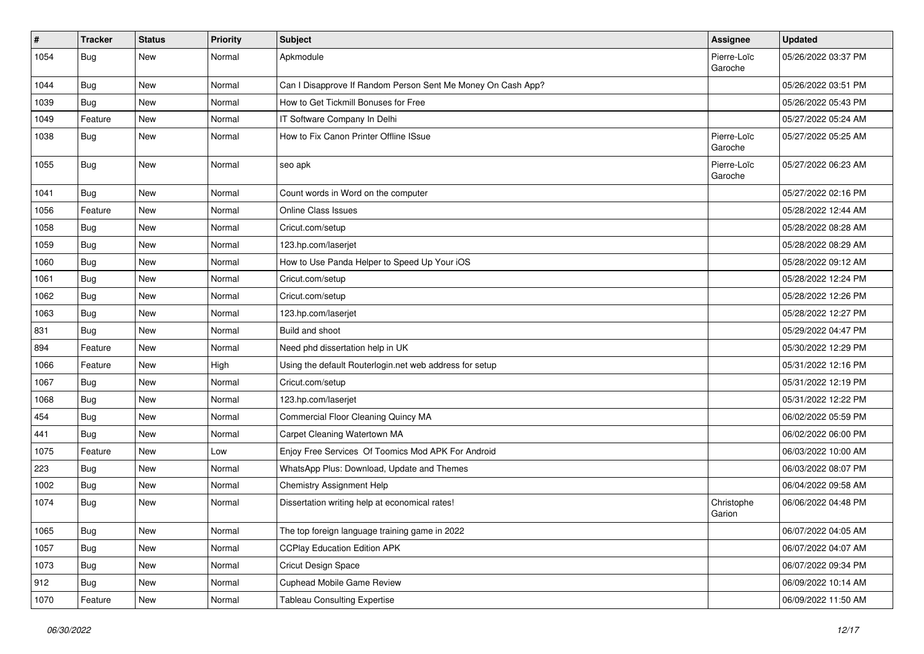| $\sharp$ | <b>Tracker</b> | <b>Status</b> | <b>Priority</b> | <b>Subject</b>                                               | <b>Assignee</b>        | <b>Updated</b>      |
|----------|----------------|---------------|-----------------|--------------------------------------------------------------|------------------------|---------------------|
| 1054     | <b>Bug</b>     | New           | Normal          | Apkmodule                                                    | Pierre-Loïc<br>Garoche | 05/26/2022 03:37 PM |
| 1044     | Bug            | New           | Normal          | Can I Disapprove If Random Person Sent Me Money On Cash App? |                        | 05/26/2022 03:51 PM |
| 1039     | <b>Bug</b>     | New           | Normal          | How to Get Tickmill Bonuses for Free                         |                        | 05/26/2022 05:43 PM |
| 1049     | Feature        | New           | Normal          | IT Software Company In Delhi                                 |                        | 05/27/2022 05:24 AM |
| 1038     | Bug            | New           | Normal          | How to Fix Canon Printer Offline ISsue                       | Pierre-Loïc<br>Garoche | 05/27/2022 05:25 AM |
| 1055     | <b>Bug</b>     | <b>New</b>    | Normal          | seo apk                                                      | Pierre-Loïc<br>Garoche | 05/27/2022 06:23 AM |
| 1041     | Bug            | <b>New</b>    | Normal          | Count words in Word on the computer                          |                        | 05/27/2022 02:16 PM |
| 1056     | Feature        | <b>New</b>    | Normal          | <b>Online Class Issues</b>                                   |                        | 05/28/2022 12:44 AM |
| 1058     | Bug            | New           | Normal          | Cricut.com/setup                                             |                        | 05/28/2022 08:28 AM |
| 1059     | Bug            | New           | Normal          | 123.hp.com/laserjet                                          |                        | 05/28/2022 08:29 AM |
| 1060     | Bug            | <b>New</b>    | Normal          | How to Use Panda Helper to Speed Up Your iOS                 |                        | 05/28/2022 09:12 AM |
| 1061     | Bug            | <b>New</b>    | Normal          | Cricut.com/setup                                             |                        | 05/28/2022 12:24 PM |
| 1062     | Bug            | New           | Normal          | Cricut.com/setup                                             |                        | 05/28/2022 12:26 PM |
| 1063     | Bug            | New           | Normal          | 123.hp.com/laserjet                                          |                        | 05/28/2022 12:27 PM |
| 831      | Bug            | New           | Normal          | Build and shoot                                              |                        | 05/29/2022 04:47 PM |
| 894      | Feature        | New           | Normal          | Need phd dissertation help in UK                             |                        | 05/30/2022 12:29 PM |
| 1066     | Feature        | New           | High            | Using the default Routerlogin.net web address for setup      |                        | 05/31/2022 12:16 PM |
| 1067     | Bug            | <b>New</b>    | Normal          | Cricut.com/setup                                             |                        | 05/31/2022 12:19 PM |
| 1068     | Bug            | New           | Normal          | 123.hp.com/laserjet                                          |                        | 05/31/2022 12:22 PM |
| 454      | <b>Bug</b>     | <b>New</b>    | Normal          | Commercial Floor Cleaning Quincy MA                          |                        | 06/02/2022 05:59 PM |
| 441      | Bug            | New           | Normal          | Carpet Cleaning Watertown MA                                 |                        | 06/02/2022 06:00 PM |
| 1075     | Feature        | <b>New</b>    | Low             | Enjoy Free Services Of Toomics Mod APK For Android           |                        | 06/03/2022 10:00 AM |
| 223      | Bug            | New           | Normal          | WhatsApp Plus: Download, Update and Themes                   |                        | 06/03/2022 08:07 PM |
| 1002     | <b>Bug</b>     | New           | Normal          | Chemistry Assignment Help                                    |                        | 06/04/2022 09:58 AM |
| 1074     | <b>Bug</b>     | <b>New</b>    | Normal          | Dissertation writing help at economical rates!               | Christophe<br>Garion   | 06/06/2022 04:48 PM |
| 1065     | <b>Bug</b>     | New           | Normal          | The top foreign language training game in 2022               |                        | 06/07/2022 04:05 AM |
| 1057     | <b>Bug</b>     | New           | Normal          | <b>CCPlay Education Edition APK</b>                          |                        | 06/07/2022 04:07 AM |
| 1073     | Bug            | New           | Normal          | Cricut Design Space                                          |                        | 06/07/2022 09:34 PM |
| 912      | <b>Bug</b>     | New           | Normal          | <b>Cuphead Mobile Game Review</b>                            |                        | 06/09/2022 10:14 AM |
| 1070     | Feature        | New           | Normal          | <b>Tableau Consulting Expertise</b>                          |                        | 06/09/2022 11:50 AM |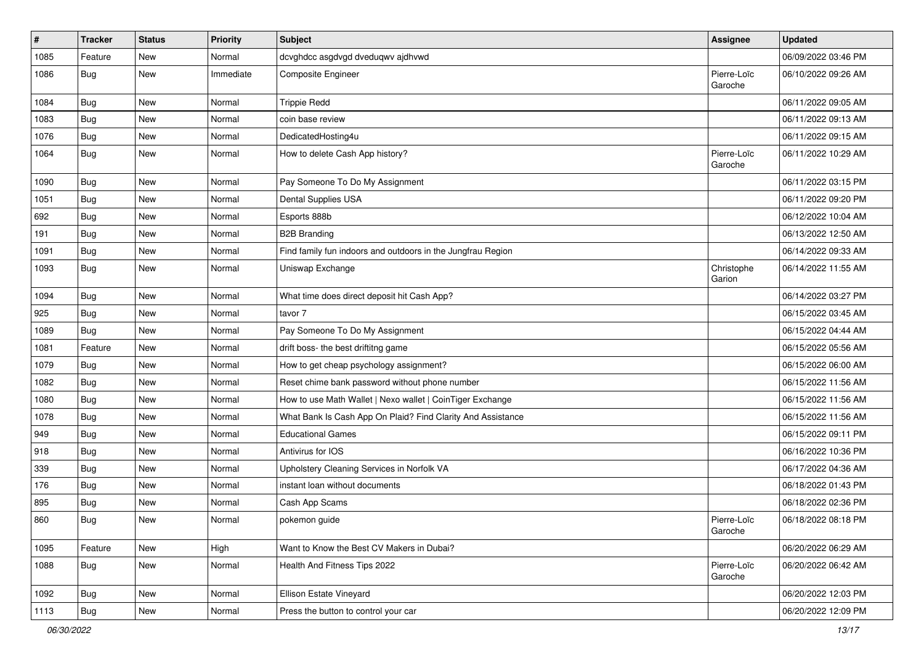| $\pmb{\#}$ | <b>Tracker</b> | <b>Status</b> | <b>Priority</b> | Subject                                                     | Assignee               | <b>Updated</b>      |
|------------|----------------|---------------|-----------------|-------------------------------------------------------------|------------------------|---------------------|
| 1085       | Feature        | New           | Normal          | dcvghdcc asgdvgd dveduqwv ajdhvwd                           |                        | 06/09/2022 03:46 PM |
| 1086       | Bug            | New           | Immediate       | Composite Engineer                                          | Pierre-Loïc<br>Garoche | 06/10/2022 09:26 AM |
| 1084       | Bug            | <b>New</b>    | Normal          | <b>Trippie Redd</b>                                         |                        | 06/11/2022 09:05 AM |
| 1083       | Bug            | <b>New</b>    | Normal          | coin base review                                            |                        | 06/11/2022 09:13 AM |
| 1076       | Bug            | New           | Normal          | DedicatedHosting4u                                          |                        | 06/11/2022 09:15 AM |
| 1064       | Bug            | New           | Normal          | How to delete Cash App history?                             | Pierre-Loïc<br>Garoche | 06/11/2022 10:29 AM |
| 1090       | Bug            | <b>New</b>    | Normal          | Pay Someone To Do My Assignment                             |                        | 06/11/2022 03:15 PM |
| 1051       | Bug            | <b>New</b>    | Normal          | Dental Supplies USA                                         |                        | 06/11/2022 09:20 PM |
| 692        | Bug            | New           | Normal          | Esports 888b                                                |                        | 06/12/2022 10:04 AM |
| 191        | Bug            | New           | Normal          | <b>B2B Branding</b>                                         |                        | 06/13/2022 12:50 AM |
| 1091       | Bug            | <b>New</b>    | Normal          | Find family fun indoors and outdoors in the Jungfrau Region |                        | 06/14/2022 09:33 AM |
| 1093       | <b>Bug</b>     | New           | Normal          | Uniswap Exchange                                            | Christophe<br>Garion   | 06/14/2022 11:55 AM |
| 1094       | Bug            | <b>New</b>    | Normal          | What time does direct deposit hit Cash App?                 |                        | 06/14/2022 03:27 PM |
| 925        | Bug            | New           | Normal          | tavor 7                                                     |                        | 06/15/2022 03:45 AM |
| 1089       | Bug            | <b>New</b>    | Normal          | Pay Someone To Do My Assignment                             |                        | 06/15/2022 04:44 AM |
| 1081       | Feature        | New           | Normal          | drift boss- the best driftitng game                         |                        | 06/15/2022 05:56 AM |
| 1079       | Bug            | New           | Normal          | How to get cheap psychology assignment?                     |                        | 06/15/2022 06:00 AM |
| 1082       | Bug            | New           | Normal          | Reset chime bank password without phone number              |                        | 06/15/2022 11:56 AM |
| 1080       | Bug            | <b>New</b>    | Normal          | How to use Math Wallet   Nexo wallet   CoinTiger Exchange   |                        | 06/15/2022 11:56 AM |
| 1078       | Bug            | New           | Normal          | What Bank Is Cash App On Plaid? Find Clarity And Assistance |                        | 06/15/2022 11:56 AM |
| 949        | Bug            | New           | Normal          | <b>Educational Games</b>                                    |                        | 06/15/2022 09:11 PM |
| 918        | Bug            | New           | Normal          | Antivirus for IOS                                           |                        | 06/16/2022 10:36 PM |
| 339        | Bug            | New           | Normal          | Upholstery Cleaning Services in Norfolk VA                  |                        | 06/17/2022 04:36 AM |
| 176        | Bug            | New           | Normal          | instant loan without documents                              |                        | 06/18/2022 01:43 PM |
| 895        | Bug            | New           | Normal          | Cash App Scams                                              |                        | 06/18/2022 02:36 PM |
| 860        | <b>Bug</b>     | New           | Normal          | pokemon guide                                               | Pierre-Loïc<br>Garoche | 06/18/2022 08:18 PM |
| 1095       | Feature        | New           | High            | Want to Know the Best CV Makers in Dubai?                   |                        | 06/20/2022 06:29 AM |
| 1088       | <b>Bug</b>     | New           | Normal          | Health And Fitness Tips 2022                                | Pierre-Loïc<br>Garoche | 06/20/2022 06:42 AM |
| 1092       | <b>Bug</b>     | New           | Normal          | Ellison Estate Vineyard                                     |                        | 06/20/2022 12:03 PM |
| 1113       | <b>Bug</b>     | New           | Normal          | Press the button to control your car                        |                        | 06/20/2022 12:09 PM |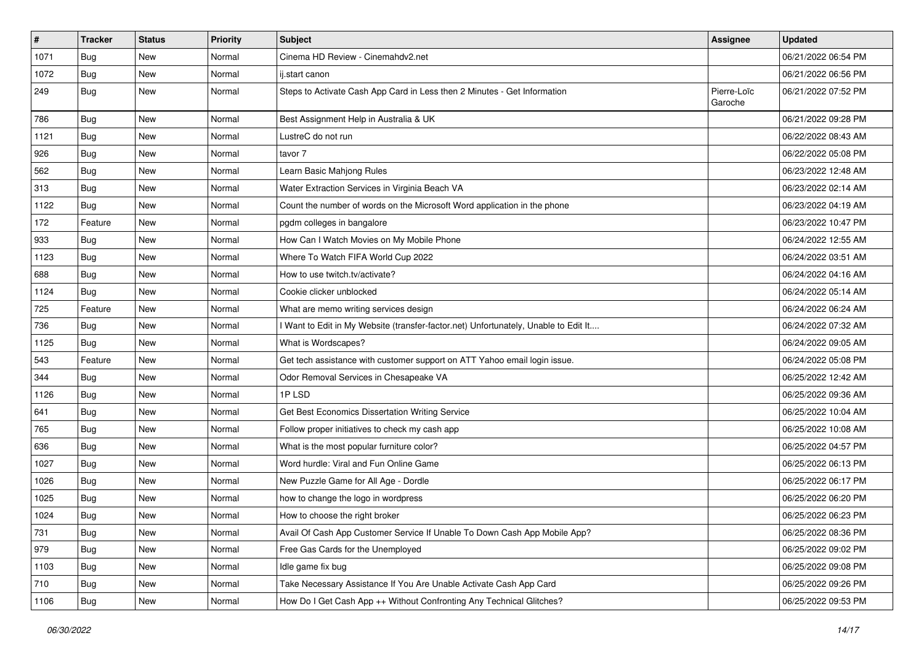| $\sharp$ | <b>Tracker</b> | <b>Status</b> | <b>Priority</b> | <b>Subject</b>                                                                      | <b>Assignee</b>        | <b>Updated</b>      |
|----------|----------------|---------------|-----------------|-------------------------------------------------------------------------------------|------------------------|---------------------|
| 1071     | Bug            | New           | Normal          | Cinema HD Review - Cinemahdv2.net                                                   |                        | 06/21/2022 06:54 PM |
| 1072     | Bug            | <b>New</b>    | Normal          | ij.start canon                                                                      |                        | 06/21/2022 06:56 PM |
| 249      | <b>Bug</b>     | New           | Normal          | Steps to Activate Cash App Card in Less then 2 Minutes - Get Information            | Pierre-Loïc<br>Garoche | 06/21/2022 07:52 PM |
| 786      | Bug            | New           | Normal          | Best Assignment Help in Australia & UK                                              |                        | 06/21/2022 09:28 PM |
| 1121     | Bug            | New           | Normal          | LustreC do not run                                                                  |                        | 06/22/2022 08:43 AM |
| 926      | <b>Bug</b>     | New           | Normal          | tavor 7                                                                             |                        | 06/22/2022 05:08 PM |
| 562      | Bug            | New           | Normal          | Learn Basic Mahjong Rules                                                           |                        | 06/23/2022 12:48 AM |
| 313      | Bug            | New           | Normal          | Water Extraction Services in Virginia Beach VA                                      |                        | 06/23/2022 02:14 AM |
| 1122     | Bug            | New           | Normal          | Count the number of words on the Microsoft Word application in the phone            |                        | 06/23/2022 04:19 AM |
| 172      | Feature        | New           | Normal          | pgdm colleges in bangalore                                                          |                        | 06/23/2022 10:47 PM |
| 933      | Bug            | New           | Normal          | How Can I Watch Movies on My Mobile Phone                                           |                        | 06/24/2022 12:55 AM |
| 1123     | Bug            | <b>New</b>    | Normal          | Where To Watch FIFA World Cup 2022                                                  |                        | 06/24/2022 03:51 AM |
| 688      | Bug            | New           | Normal          | How to use twitch.tv/activate?                                                      |                        | 06/24/2022 04:16 AM |
| 1124     | Bug            | <b>New</b>    | Normal          | Cookie clicker unblocked                                                            |                        | 06/24/2022 05:14 AM |
| 725      | Feature        | <b>New</b>    | Normal          | What are memo writing services design                                               |                        | 06/24/2022 06:24 AM |
| 736      | Bug            | New           | Normal          | I Want to Edit in My Website (transfer-factor.net) Unfortunately, Unable to Edit It |                        | 06/24/2022 07:32 AM |
| 1125     | Bug            | New           | Normal          | What is Wordscapes?                                                                 |                        | 06/24/2022 09:05 AM |
| 543      | Feature        | New           | Normal          | Get tech assistance with customer support on ATT Yahoo email login issue.           |                        | 06/24/2022 05:08 PM |
| 344      | Bug            | New           | Normal          | Odor Removal Services in Chesapeake VA                                              |                        | 06/25/2022 12:42 AM |
| 1126     | Bug            | New           | Normal          | 1PLSD                                                                               |                        | 06/25/2022 09:36 AM |
| 641      | Bug            | New           | Normal          | Get Best Economics Dissertation Writing Service                                     |                        | 06/25/2022 10:04 AM |
| 765      | Bug            | New           | Normal          | Follow proper initiatives to check my cash app                                      |                        | 06/25/2022 10:08 AM |
| 636      | <b>Bug</b>     | New           | Normal          | What is the most popular furniture color?                                           |                        | 06/25/2022 04:57 PM |
| 1027     | Bug            | New           | Normal          | Word hurdle: Viral and Fun Online Game                                              |                        | 06/25/2022 06:13 PM |
| 1026     | Bug            | New           | Normal          | New Puzzle Game for All Age - Dordle                                                |                        | 06/25/2022 06:17 PM |
| 1025     | Bug            | <b>New</b>    | Normal          | how to change the logo in wordpress                                                 |                        | 06/25/2022 06:20 PM |
| 1024     | <b>Bug</b>     | New           | Normal          | How to choose the right broker                                                      |                        | 06/25/2022 06:23 PM |
| 731      | Bug            | New           | Normal          | Avail Of Cash App Customer Service If Unable To Down Cash App Mobile App?           |                        | 06/25/2022 08:36 PM |
| 979      | Bug            | New           | Normal          | Free Gas Cards for the Unemployed                                                   |                        | 06/25/2022 09:02 PM |
| 1103     | Bug            | New           | Normal          | Idle game fix bug                                                                   |                        | 06/25/2022 09:08 PM |
| 710      | Bug            | New           | Normal          | Take Necessary Assistance If You Are Unable Activate Cash App Card                  |                        | 06/25/2022 09:26 PM |
| 1106     | <b>Bug</b>     | New           | Normal          | How Do I Get Cash App ++ Without Confronting Any Technical Glitches?                |                        | 06/25/2022 09:53 PM |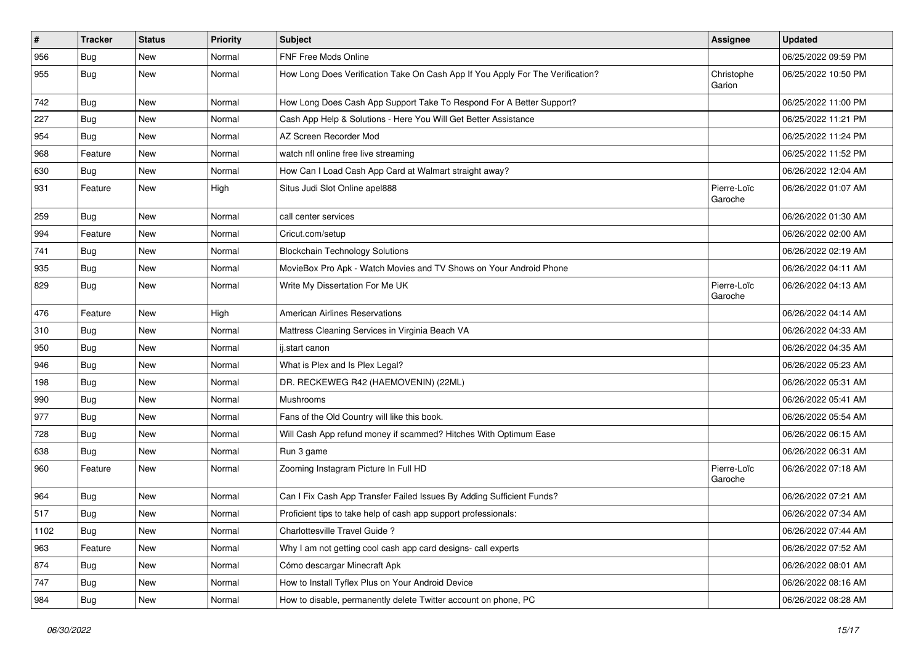| $\vert$ # | <b>Tracker</b> | <b>Status</b> | <b>Priority</b> | <b>Subject</b>                                                                 | <b>Assignee</b>        | <b>Updated</b>      |
|-----------|----------------|---------------|-----------------|--------------------------------------------------------------------------------|------------------------|---------------------|
| 956       | <b>Bug</b>     | New           | Normal          | FNF Free Mods Online                                                           |                        | 06/25/2022 09:59 PM |
| 955       | Bug            | New           | Normal          | How Long Does Verification Take On Cash App If You Apply For The Verification? | Christophe<br>Garion   | 06/25/2022 10:50 PM |
| 742       | Bug            | <b>New</b>    | Normal          | How Long Does Cash App Support Take To Respond For A Better Support?           |                        | 06/25/2022 11:00 PM |
| 227       | Bug            | <b>New</b>    | Normal          | Cash App Help & Solutions - Here You Will Get Better Assistance                |                        | 06/25/2022 11:21 PM |
| 954       | Bug            | <b>New</b>    | Normal          | AZ Screen Recorder Mod                                                         |                        | 06/25/2022 11:24 PM |
| 968       | Feature        | New           | Normal          | watch nfl online free live streaming                                           |                        | 06/25/2022 11:52 PM |
| 630       | Bug            | <b>New</b>    | Normal          | How Can I Load Cash App Card at Walmart straight away?                         |                        | 06/26/2022 12:04 AM |
| 931       | Feature        | <b>New</b>    | High            | Situs Judi Slot Online apel888                                                 | Pierre-Loïc<br>Garoche | 06/26/2022 01:07 AM |
| 259       | Bug            | New           | Normal          | call center services                                                           |                        | 06/26/2022 01:30 AM |
| 994       | Feature        | <b>New</b>    | Normal          | Cricut.com/setup                                                               |                        | 06/26/2022 02:00 AM |
| 741       | Bug            | <b>New</b>    | Normal          | <b>Blockchain Technology Solutions</b>                                         |                        | 06/26/2022 02:19 AM |
| 935       | Bug            | New           | Normal          | MovieBox Pro Apk - Watch Movies and TV Shows on Your Android Phone             |                        | 06/26/2022 04:11 AM |
| 829       | Bug            | New           | Normal          | Write My Dissertation For Me UK                                                | Pierre-Loïc<br>Garoche | 06/26/2022 04:13 AM |
| 476       | Feature        | <b>New</b>    | High            | <b>American Airlines Reservations</b>                                          |                        | 06/26/2022 04:14 AM |
| 310       | Bug            | <b>New</b>    | Normal          | Mattress Cleaning Services in Virginia Beach VA                                |                        | 06/26/2022 04:33 AM |
| 950       | Bug            | New           | Normal          | ij.start canon                                                                 |                        | 06/26/2022 04:35 AM |
| 946       | Bug            | <b>New</b>    | Normal          | What is Plex and Is Plex Legal?                                                |                        | 06/26/2022 05:23 AM |
| 198       | Bug            | <b>New</b>    | Normal          | DR. RECKEWEG R42 (HAEMOVENIN) (22ML)                                           |                        | 06/26/2022 05:31 AM |
| 990       | <b>Bug</b>     | <b>New</b>    | Normal          | Mushrooms                                                                      |                        | 06/26/2022 05:41 AM |
| 977       | Bug            | <b>New</b>    | Normal          | Fans of the Old Country will like this book.                                   |                        | 06/26/2022 05:54 AM |
| 728       | Bug            | <b>New</b>    | Normal          | Will Cash App refund money if scammed? Hitches With Optimum Ease               |                        | 06/26/2022 06:15 AM |
| 638       | Bug            | <b>New</b>    | Normal          | Run 3 game                                                                     |                        | 06/26/2022 06:31 AM |
| 960       | Feature        | <b>New</b>    | Normal          | Zooming Instagram Picture In Full HD                                           | Pierre-Loïc<br>Garoche | 06/26/2022 07:18 AM |
| 964       | Bug            | <b>New</b>    | Normal          | Can I Fix Cash App Transfer Failed Issues By Adding Sufficient Funds?          |                        | 06/26/2022 07:21 AM |
| 517       | Bug            | <b>New</b>    | Normal          | Proficient tips to take help of cash app support professionals:                |                        | 06/26/2022 07:34 AM |
| 1102      | <b>Bug</b>     | New           | Normal          | Charlottesville Travel Guide?                                                  |                        | 06/26/2022 07:44 AM |
| 963       | Feature        | New           | Normal          | Why I am not getting cool cash app card designs- call experts                  |                        | 06/26/2022 07:52 AM |
| 874       | Bug            | New           | Normal          | Cómo descargar Minecraft Apk                                                   |                        | 06/26/2022 08:01 AM |
| 747       | <b>Bug</b>     | New           | Normal          | How to Install Tyflex Plus on Your Android Device                              |                        | 06/26/2022 08:16 AM |
| 984       | <b>Bug</b>     | New           | Normal          | How to disable, permanently delete Twitter account on phone, PC                |                        | 06/26/2022 08:28 AM |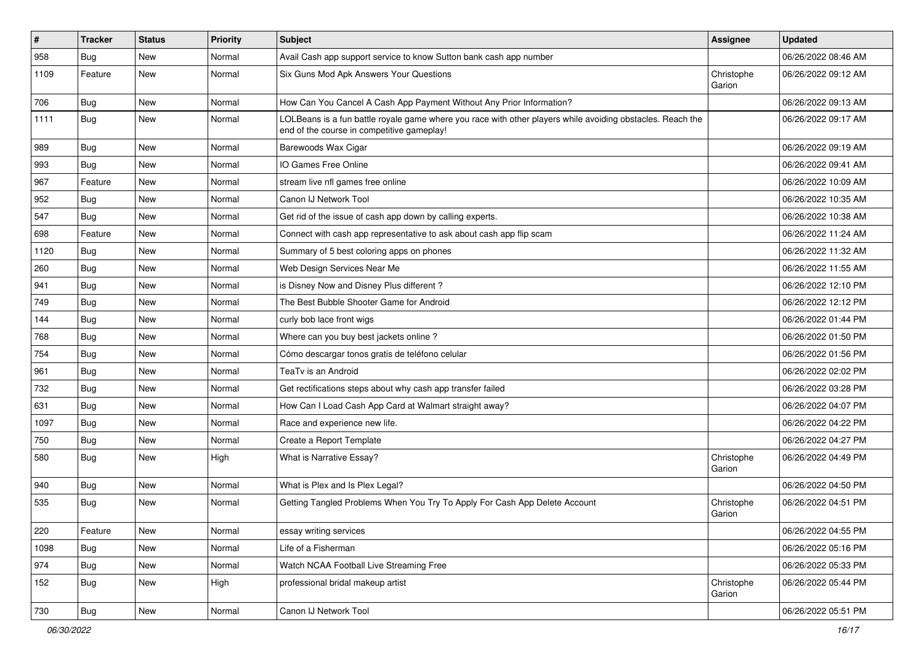| $\vert$ # | <b>Tracker</b> | <b>Status</b> | <b>Priority</b> | <b>Subject</b>                                                                                                                                           | <b>Assignee</b>      | <b>Updated</b>      |
|-----------|----------------|---------------|-----------------|----------------------------------------------------------------------------------------------------------------------------------------------------------|----------------------|---------------------|
| 958       | Bug            | <b>New</b>    | Normal          | Avail Cash app support service to know Sutton bank cash app number                                                                                       |                      | 06/26/2022 08:46 AM |
| 1109      | Feature        | <b>New</b>    | Normal          | Six Guns Mod Apk Answers Your Questions                                                                                                                  | Christophe<br>Garion | 06/26/2022 09:12 AM |
| 706       | Bug            | <b>New</b>    | Normal          | How Can You Cancel A Cash App Payment Without Any Prior Information?                                                                                     |                      | 06/26/2022 09:13 AM |
| 1111      | Bug            | <b>New</b>    | Normal          | LOLBeans is a fun battle royale game where you race with other players while avoiding obstacles. Reach the<br>end of the course in competitive gameplay! |                      | 06/26/2022 09:17 AM |
| 989       | Bug            | <b>New</b>    | Normal          | Barewoods Wax Cigar                                                                                                                                      |                      | 06/26/2022 09:19 AM |
| 993       | Bug            | <b>New</b>    | Normal          | IO Games Free Online                                                                                                                                     |                      | 06/26/2022 09:41 AM |
| 967       | Feature        | <b>New</b>    | Normal          | stream live nfl games free online                                                                                                                        |                      | 06/26/2022 10:09 AM |
| 952       | Bug            | <b>New</b>    | Normal          | Canon IJ Network Tool                                                                                                                                    |                      | 06/26/2022 10:35 AM |
| 547       | Bug            | <b>New</b>    | Normal          | Get rid of the issue of cash app down by calling experts.                                                                                                |                      | 06/26/2022 10:38 AM |
| 698       | Feature        | <b>New</b>    | Normal          | Connect with cash app representative to ask about cash app flip scam                                                                                     |                      | 06/26/2022 11:24 AM |
| 1120      | Bug            | <b>New</b>    | Normal          | Summary of 5 best coloring apps on phones                                                                                                                |                      | 06/26/2022 11:32 AM |
| 260       | Bug            | <b>New</b>    | Normal          | Web Design Services Near Me                                                                                                                              |                      | 06/26/2022 11:55 AM |
| 941       | Bug            | <b>New</b>    | Normal          | is Disney Now and Disney Plus different?                                                                                                                 |                      | 06/26/2022 12:10 PM |
| 749       | Bug            | <b>New</b>    | Normal          | The Best Bubble Shooter Game for Android                                                                                                                 |                      | 06/26/2022 12:12 PM |
| 144       | <b>Bug</b>     | <b>New</b>    | Normal          | curly bob lace front wigs                                                                                                                                |                      | 06/26/2022 01:44 PM |
| 768       | Bug            | <b>New</b>    | Normal          | Where can you buy best jackets online?                                                                                                                   |                      | 06/26/2022 01:50 PM |
| 754       | Bug            | <b>New</b>    | Normal          | Cómo descargar tonos gratis de teléfono celular                                                                                                          |                      | 06/26/2022 01:56 PM |
| 961       | Bug            | <b>New</b>    | Normal          | TeaTv is an Android                                                                                                                                      |                      | 06/26/2022 02:02 PM |
| 732       | Bug            | <b>New</b>    | Normal          | Get rectifications steps about why cash app transfer failed                                                                                              |                      | 06/26/2022 03:28 PM |
| 631       | Bug            | <b>New</b>    | Normal          | How Can I Load Cash App Card at Walmart straight away?                                                                                                   |                      | 06/26/2022 04:07 PM |
| 1097      | Bug            | <b>New</b>    | Normal          | Race and experience new life.                                                                                                                            |                      | 06/26/2022 04:22 PM |
| 750       | Bug            | <b>New</b>    | Normal          | Create a Report Template                                                                                                                                 |                      | 06/26/2022 04:27 PM |
| 580       | <b>Bug</b>     | <b>New</b>    | High            | What is Narrative Essay?                                                                                                                                 | Christophe<br>Garion | 06/26/2022 04:49 PM |
| 940       | Bug            | <b>New</b>    | Normal          | What is Plex and Is Plex Legal?                                                                                                                          |                      | 06/26/2022 04:50 PM |
| 535       | Bug            | <b>New</b>    | Normal          | Getting Tangled Problems When You Try To Apply For Cash App Delete Account                                                                               | Christophe<br>Garion | 06/26/2022 04:51 PM |
| 220       | Feature        | New           | Normal          | essay writing services                                                                                                                                   |                      | 06/26/2022 04:55 PM |
| 1098      | <b>Bug</b>     | New           | Normal          | Life of a Fisherman                                                                                                                                      |                      | 06/26/2022 05:16 PM |
| 974       | Bug            | New           | Normal          | Watch NCAA Football Live Streaming Free                                                                                                                  |                      | 06/26/2022 05:33 PM |
| 152       | <b>Bug</b>     | New           | High            | professional bridal makeup artist                                                                                                                        | Christophe<br>Garion | 06/26/2022 05:44 PM |
| 730       | Bug            | New           | Normal          | Canon IJ Network Tool                                                                                                                                    |                      | 06/26/2022 05:51 PM |